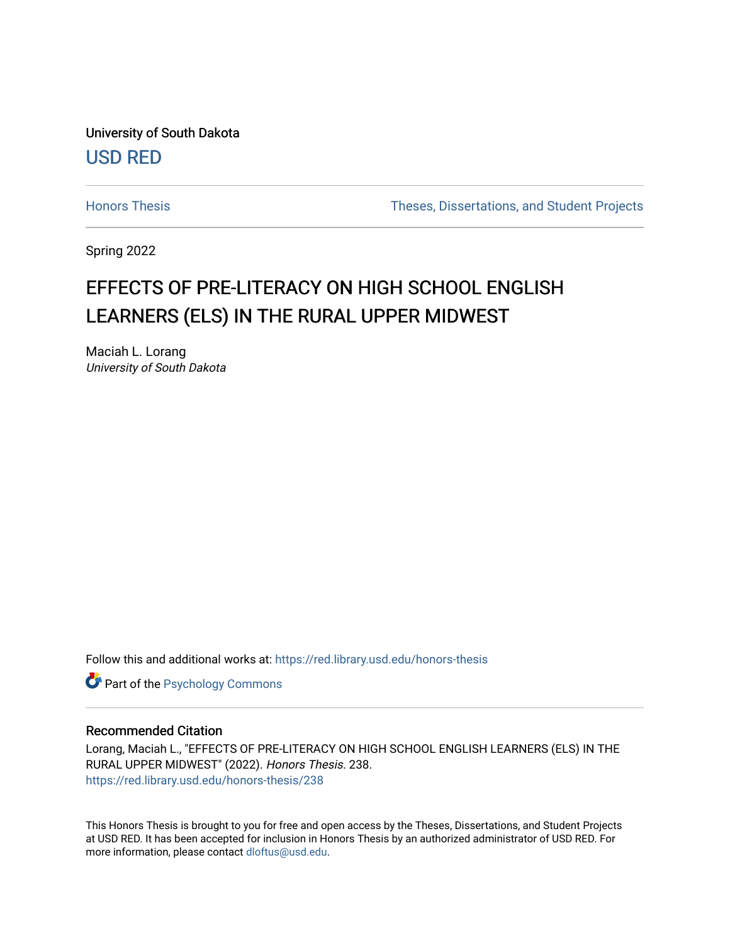University of South Dakota [USD RED](https://red.library.usd.edu/) 

[Honors Thesis](https://red.library.usd.edu/honors-thesis) Theses, Dissertations, and Student Projects

Spring 2022

## EFFECTS OF PRE-LITERACY ON HIGH SCHOOL ENGLISH LEARNERS (ELS) IN THE RURAL UPPER MIDWEST

Maciah L. Lorang University of South Dakota

Follow this and additional works at: [https://red.library.usd.edu/honors-thesis](https://red.library.usd.edu/honors-thesis?utm_source=red.library.usd.edu%2Fhonors-thesis%2F238&utm_medium=PDF&utm_campaign=PDFCoverPages) 

**Part of the Psychology Commons** 

### Recommended Citation

Lorang, Maciah L., "EFFECTS OF PRE-LITERACY ON HIGH SCHOOL ENGLISH LEARNERS (ELS) IN THE RURAL UPPER MIDWEST" (2022). Honors Thesis. 238. [https://red.library.usd.edu/honors-thesis/238](https://red.library.usd.edu/honors-thesis/238?utm_source=red.library.usd.edu%2Fhonors-thesis%2F238&utm_medium=PDF&utm_campaign=PDFCoverPages) 

This Honors Thesis is brought to you for free and open access by the Theses, Dissertations, and Student Projects at USD RED. It has been accepted for inclusion in Honors Thesis by an authorized administrator of USD RED. For more information, please contact [dloftus@usd.edu](mailto:dloftus@usd.edu).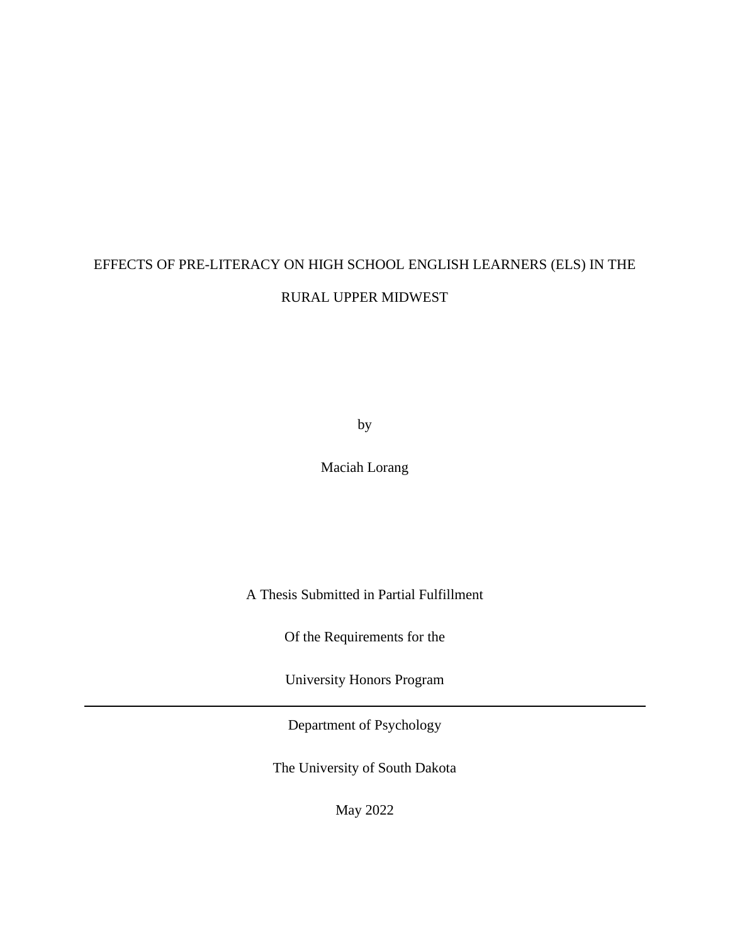# EFFECTS OF PRE-LITERACY ON HIGH SCHOOL ENGLISH LEARNERS (ELS) IN THE RURAL UPPER MIDWEST

by

Maciah Lorang

A Thesis Submitted in Partial Fulfillment

Of the Requirements for the

University Honors Program

Department of Psychology

The University of South Dakota

May 2022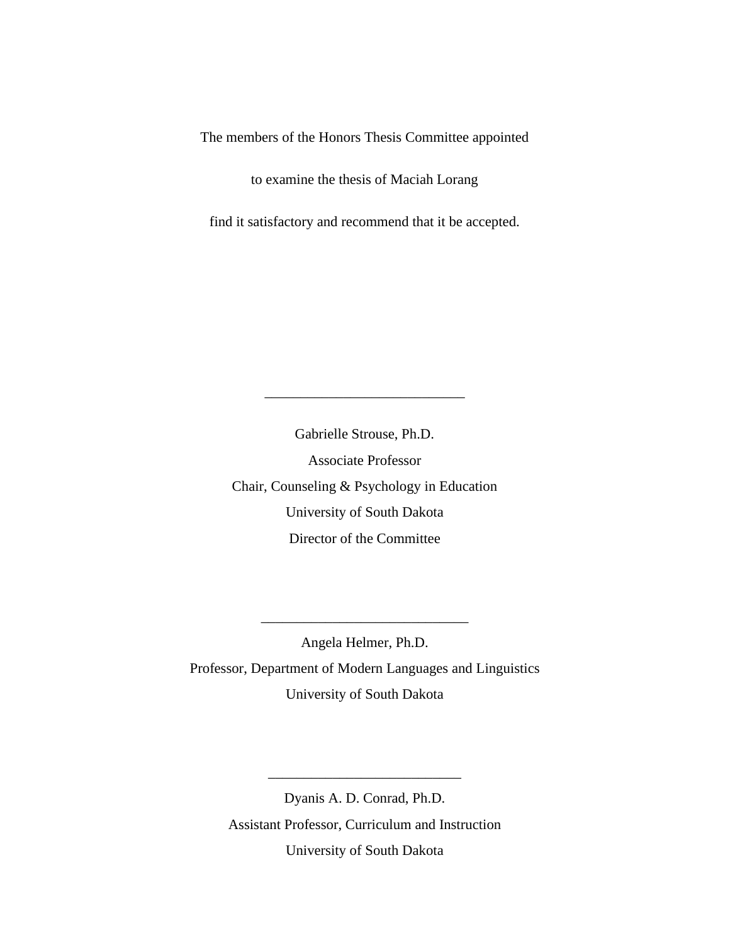The members of the Honors Thesis Committee appointed

to examine the thesis of Maciah Lorang

find it satisfactory and recommend that it be accepted.

Gabrielle Strouse, Ph.D. Associate Professor Chair, Counseling & Psychology in Education University of South Dakota Director of the Committee

\_\_\_\_\_\_\_\_\_\_\_\_\_\_\_\_\_\_\_\_\_\_\_\_\_\_\_\_

Angela Helmer, Ph.D. Professor, Department of Modern Languages and Linguistics University of South Dakota

\_\_\_\_\_\_\_\_\_\_\_\_\_\_\_\_\_\_\_\_\_\_\_\_\_\_\_\_\_

Dyanis A. D. Conrad, Ph.D. Assistant Professor, Curriculum and Instruction University of South Dakota

\_\_\_\_\_\_\_\_\_\_\_\_\_\_\_\_\_\_\_\_\_\_\_\_\_\_\_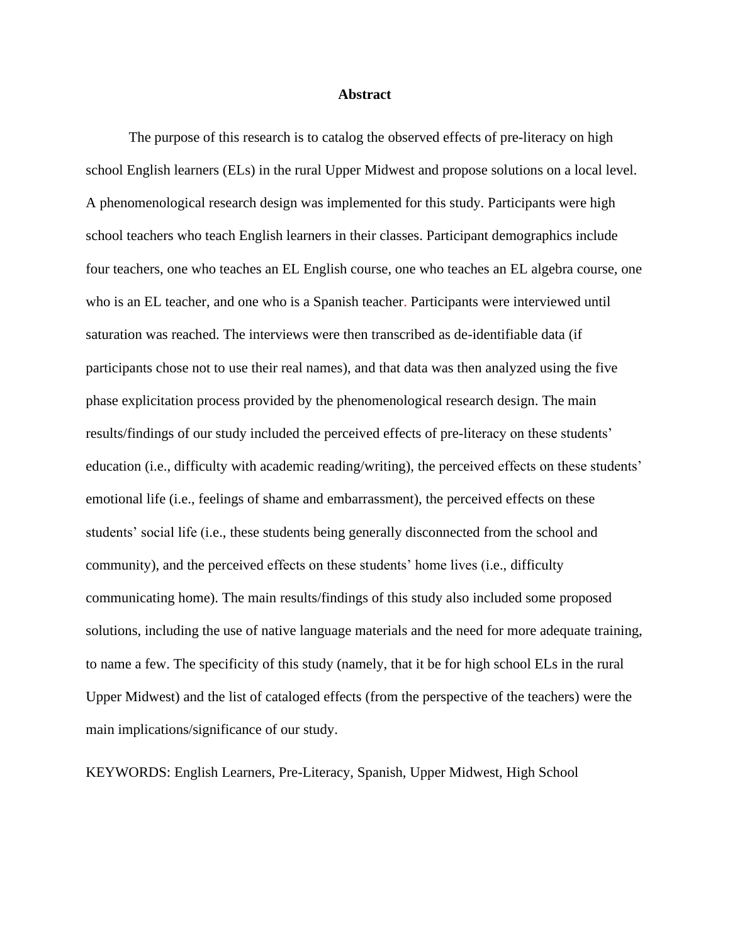#### **Abstract**

The purpose of this research is to catalog the observed effects of pre-literacy on high school English learners (ELs) in the rural Upper Midwest and propose solutions on a local level. A phenomenological research design was implemented for this study. Participants were high school teachers who teach English learners in their classes. Participant demographics include four teachers, one who teaches an EL English course, one who teaches an EL algebra course, one who is an EL teacher, and one who is a Spanish teacher. Participants were interviewed until saturation was reached. The interviews were then transcribed as de-identifiable data (if participants chose not to use their real names), and that data was then analyzed using the five phase explicitation process provided by the phenomenological research design. The main results/findings of our study included the perceived effects of pre-literacy on these students' education (i.e., difficulty with academic reading/writing), the perceived effects on these students' emotional life (i.e., feelings of shame and embarrassment), the perceived effects on these students' social life (i.e., these students being generally disconnected from the school and community), and the perceived effects on these students' home lives (i.e., difficulty communicating home). The main results/findings of this study also included some proposed solutions, including the use of native language materials and the need for more adequate training, to name a few. The specificity of this study (namely, that it be for high school ELs in the rural Upper Midwest) and the list of cataloged effects (from the perspective of the teachers) were the main implications/significance of our study.

KEYWORDS: English Learners, Pre-Literacy, Spanish, Upper Midwest, High School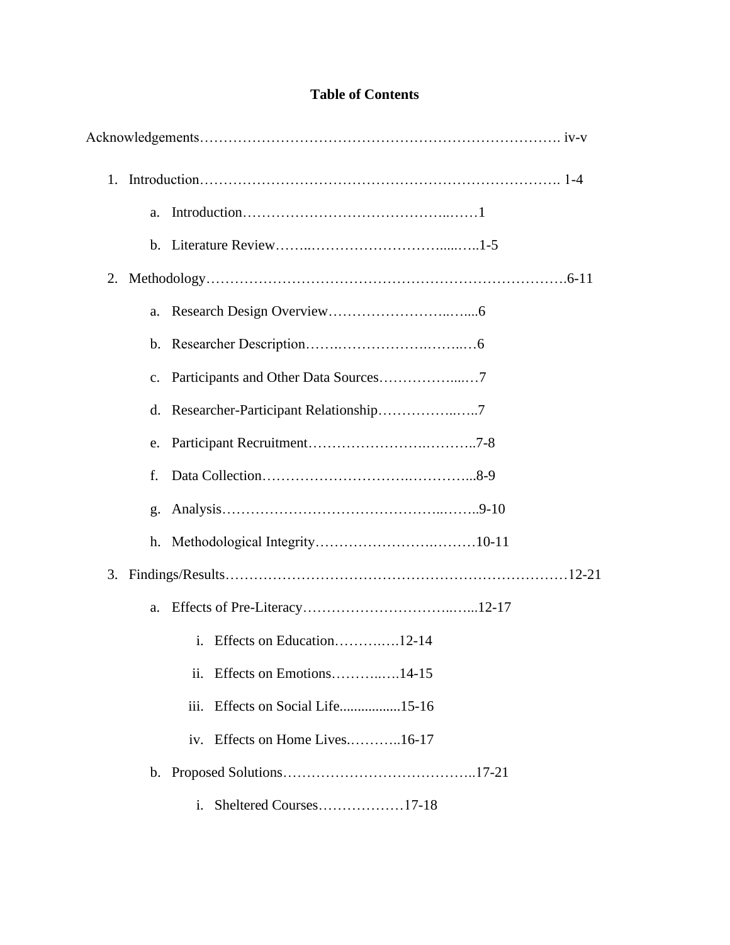## **Table of Contents**

|    | a. |                                     |  |  |
|----|----|-------------------------------------|--|--|
|    |    |                                     |  |  |
|    |    |                                     |  |  |
|    | a. |                                     |  |  |
|    |    |                                     |  |  |
|    |    |                                     |  |  |
|    |    |                                     |  |  |
|    |    |                                     |  |  |
|    | f. |                                     |  |  |
|    | g. |                                     |  |  |
|    |    |                                     |  |  |
| 3. |    |                                     |  |  |
|    | a. |                                     |  |  |
|    |    | i. Effects on Education12-14        |  |  |
|    |    | Effects on Emotions14-15<br>ii.     |  |  |
|    |    | Effects on Social Life15-16<br>iii. |  |  |
|    |    | Effects on Home Lives16-17<br>1V.   |  |  |
|    |    |                                     |  |  |
|    |    | i. Sheltered Courses17-18           |  |  |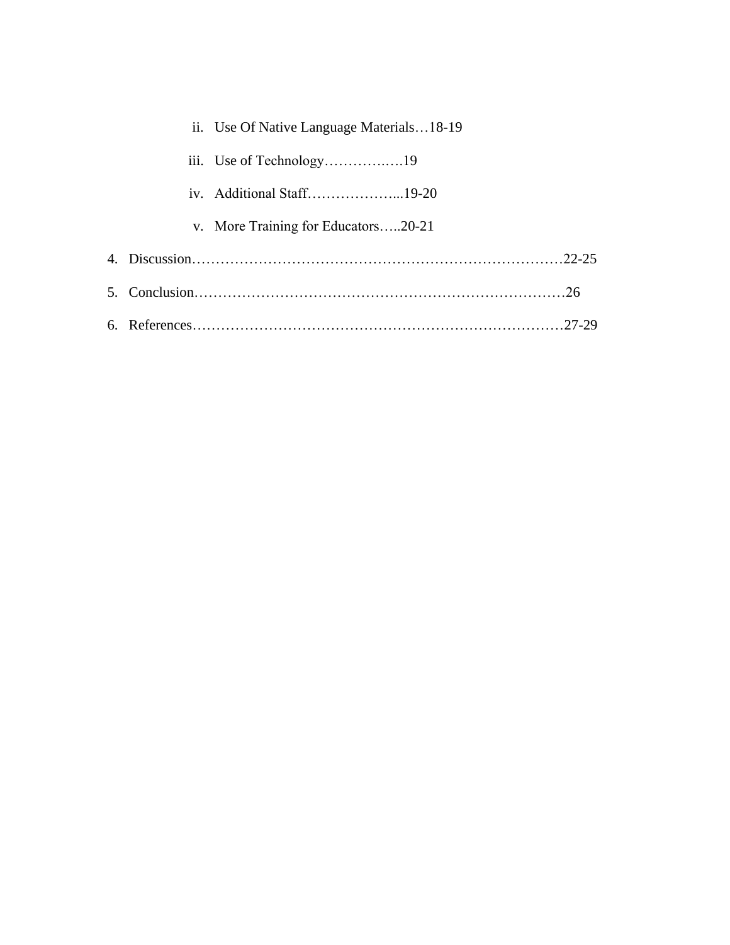|  | ii. Use Of Native Language Materials18-19 |
|--|-------------------------------------------|
|  |                                           |
|  | iv. Additional Staff19-20                 |
|  | v. More Training for Educators20-21       |
|  |                                           |
|  |                                           |
|  |                                           |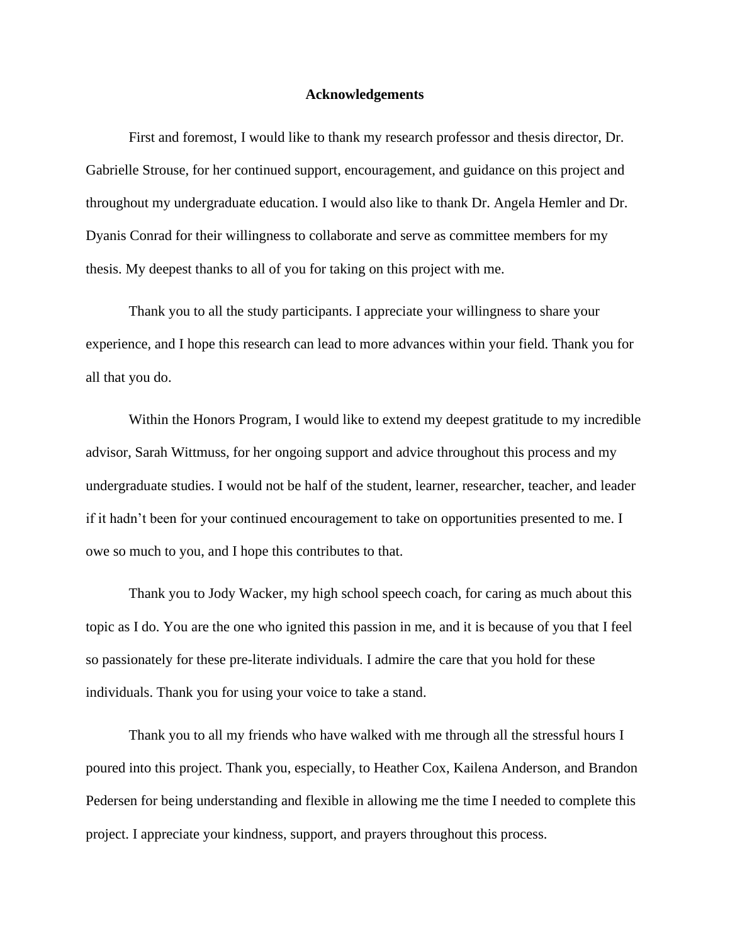#### **Acknowledgements**

First and foremost, I would like to thank my research professor and thesis director, Dr. Gabrielle Strouse, for her continued support, encouragement, and guidance on this project and throughout my undergraduate education. I would also like to thank Dr. Angela Hemler and Dr. Dyanis Conrad for their willingness to collaborate and serve as committee members for my thesis. My deepest thanks to all of you for taking on this project with me.

Thank you to all the study participants. I appreciate your willingness to share your experience, and I hope this research can lead to more advances within your field. Thank you for all that you do.

Within the Honors Program, I would like to extend my deepest gratitude to my incredible advisor, Sarah Wittmuss, for her ongoing support and advice throughout this process and my undergraduate studies. I would not be half of the student, learner, researcher, teacher, and leader if it hadn't been for your continued encouragement to take on opportunities presented to me. I owe so much to you, and I hope this contributes to that.

Thank you to Jody Wacker, my high school speech coach, for caring as much about this topic as I do. You are the one who ignited this passion in me, and it is because of you that I feel so passionately for these pre-literate individuals. I admire the care that you hold for these individuals. Thank you for using your voice to take a stand.

Thank you to all my friends who have walked with me through all the stressful hours I poured into this project. Thank you, especially, to Heather Cox, Kailena Anderson, and Brandon Pedersen for being understanding and flexible in allowing me the time I needed to complete this project. I appreciate your kindness, support, and prayers throughout this process.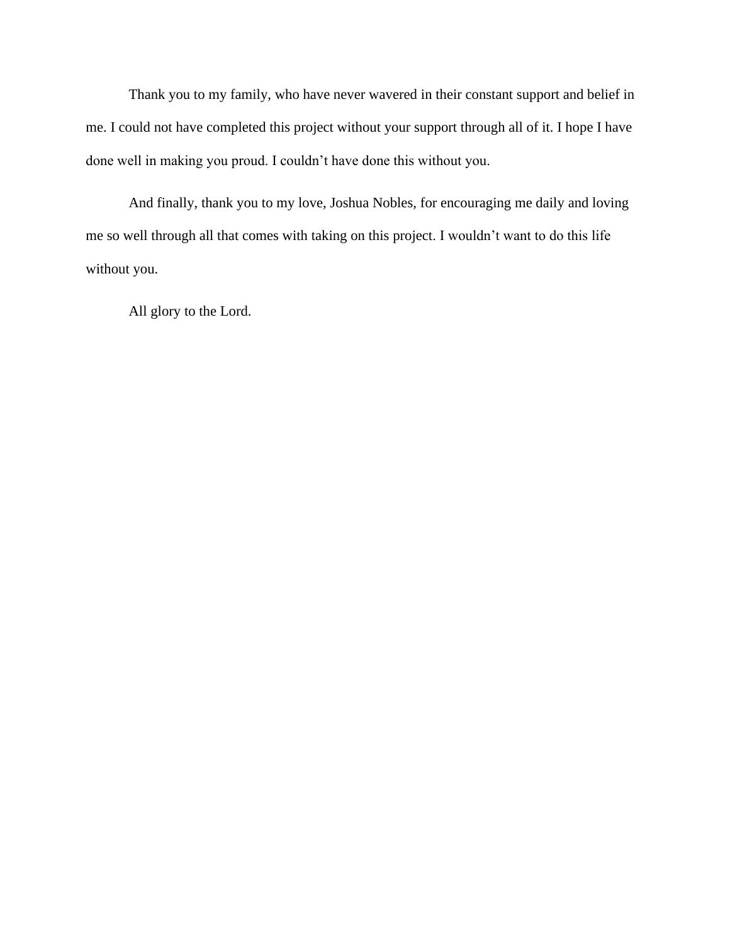Thank you to my family, who have never wavered in their constant support and belief in me. I could not have completed this project without your support through all of it. I hope I have done well in making you proud. I couldn't have done this without you.

And finally, thank you to my love, Joshua Nobles, for encouraging me daily and loving me so well through all that comes with taking on this project. I wouldn't want to do this life without you.

All glory to the Lord.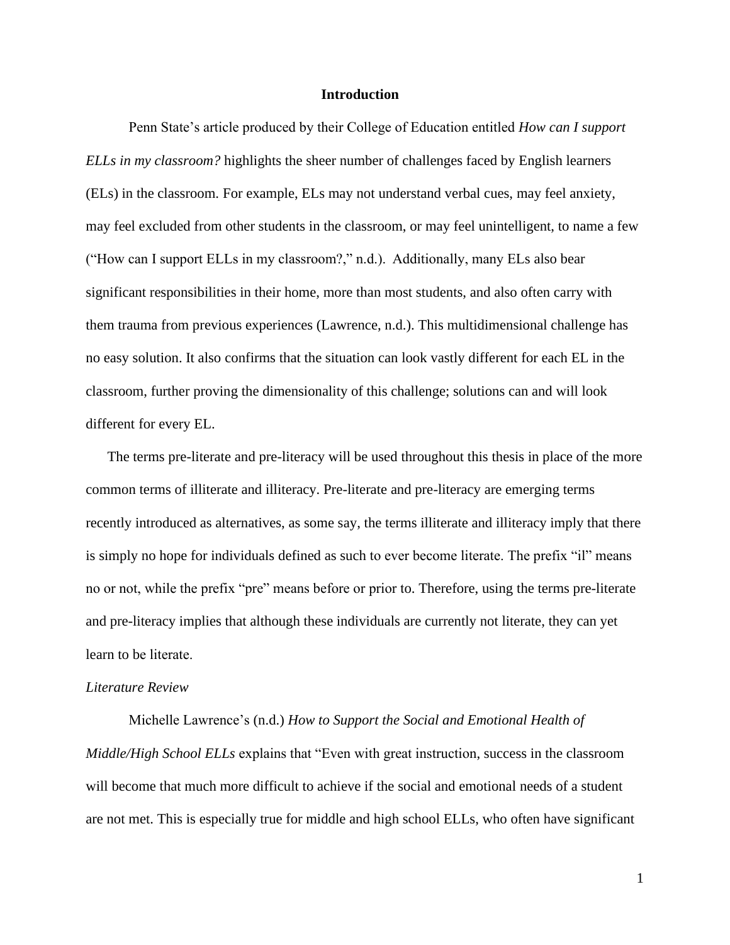### **Introduction**

Penn State's article produced by their College of Education entitled *How can I support ELLs in my classroom?* highlights the sheer number of challenges faced by English learners (ELs) in the classroom. For example, ELs may not understand verbal cues, may feel anxiety, may feel excluded from other students in the classroom, or may feel unintelligent, to name a few ("How can I support ELLs in my classroom?," n.d.).  Additionally, many ELs also bear significant responsibilities in their home, more than most students, and also often carry with them trauma from previous experiences (Lawrence, n.d.). This multidimensional challenge has no easy solution. It also confirms that the situation can look vastly different for each EL in the classroom, further proving the dimensionality of this challenge; solutions can and will look different for every EL.   

The terms pre-literate and pre-literacy will be used throughout this thesis in place of the more common terms of illiterate and illiteracy. Pre-literate and pre-literacy are emerging terms recently introduced as alternatives, as some say, the terms illiterate and illiteracy imply that there is simply no hope for individuals defined as such to ever become literate. The prefix "il" means no or not, while the prefix "pre" means before or prior to. Therefore, using the terms pre-literate and pre-literacy implies that although these individuals are currently not literate, they can yet learn to be literate.  

#### *Literature Review*

Michelle Lawrence's (n.d.) *How to Support the Social and Emotional Health of Middle/High School ELLs* explains that "Even with great instruction, success in the classroom will become that much more difficult to achieve if the social and emotional needs of a student are not met. This is especially true for middle and high school ELLs, who often have significant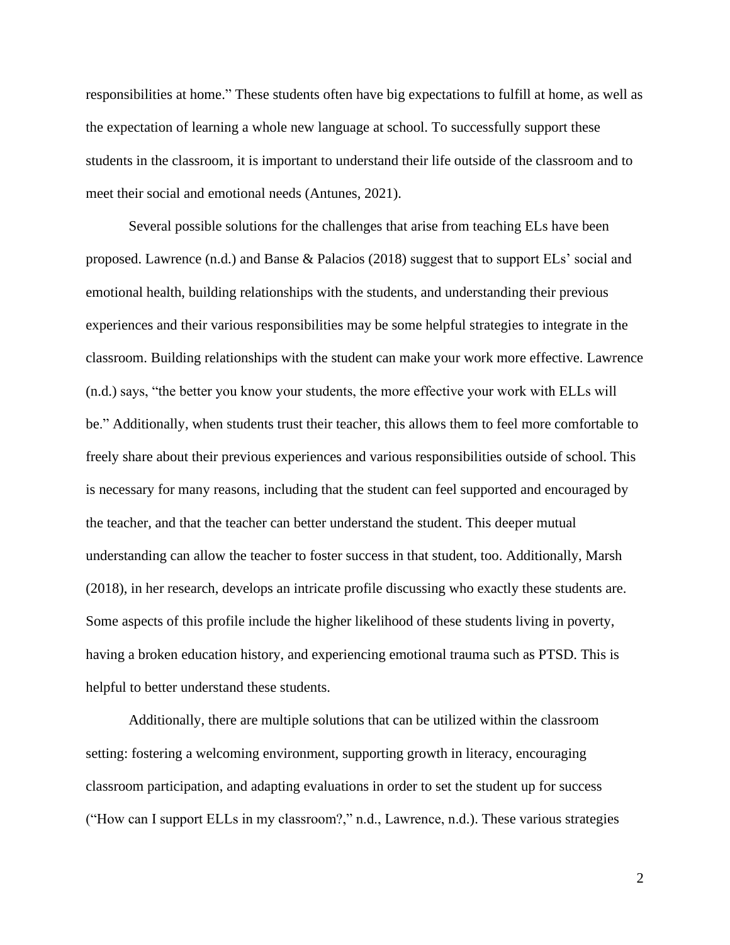responsibilities at home." These students often have big expectations to fulfill at home, as well as the expectation of learning a whole new language at school. To successfully support these students in the classroom, it is important to understand their life outside of the classroom and to meet their social and emotional needs (Antunes, 2021).

Several possible solutions for the challenges that arise from teaching ELs have been proposed. Lawrence (n.d.) and Banse & Palacios (2018) suggest that to support ELs' social and emotional health, building relationships with the students, and understanding their previous experiences and their various responsibilities may be some helpful strategies to integrate in the classroom. Building relationships with the student can make your work more effective. Lawrence (n.d.) says, "the better you know your students, the more effective your work with ELLs will be." Additionally, when students trust their teacher, this allows them to feel more comfortable to freely share about their previous experiences and various responsibilities outside of school. This is necessary for many reasons, including that the student can feel supported and encouraged by the teacher, and that the teacher can better understand the student. This deeper mutual understanding can allow the teacher to foster success in that student, too. Additionally, Marsh (2018), in her research, develops an intricate profile discussing who exactly these students are. Some aspects of this profile include the higher likelihood of these students living in poverty, having a broken education history, and experiencing emotional trauma such as PTSD. This is helpful to better understand these students.

Additionally, there are multiple solutions that can be utilized within the classroom setting: fostering a welcoming environment, supporting growth in literacy, encouraging classroom participation, and adapting evaluations in order to set the student up for success ("How can I support ELLs in my classroom?," n.d., Lawrence, n.d.). These various strategies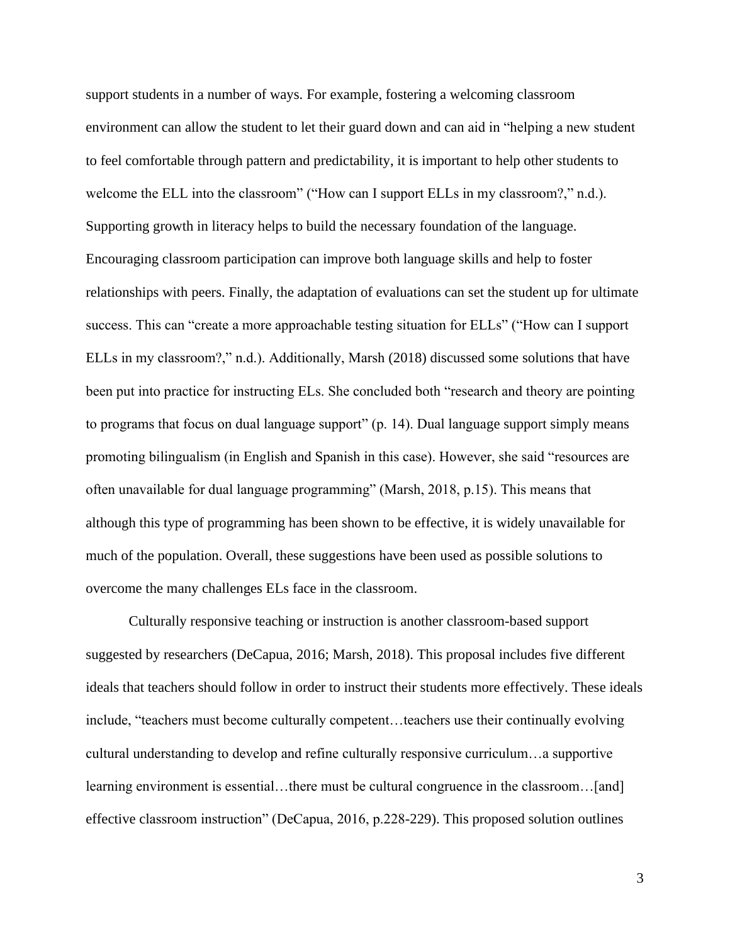support students in a number of ways. For example, fostering a welcoming classroom environment can allow the student to let their guard down and can aid in "helping a new student to feel comfortable through pattern and predictability, it is important to help other students to welcome the ELL into the classroom" ("How can I support ELLs in my classroom?," n.d.). Supporting growth in literacy helps to build the necessary foundation of the language. Encouraging classroom participation can improve both language skills and help to foster relationships with peers. Finally, the adaptation of evaluations can set the student up for ultimate success. This can "create a more approachable testing situation for ELLs" ("How can I support ELLs in my classroom?," n.d.). Additionally, Marsh (2018) discussed some solutions that have been put into practice for instructing ELs. She concluded both "research and theory are pointing to programs that focus on dual language support" (p. 14). Dual language support simply means promoting bilingualism (in English and Spanish in this case). However, she said "resources are often unavailable for dual language programming" (Marsh, 2018, p.15). This means that although this type of programming has been shown to be effective, it is widely unavailable for much of the population. Overall, these suggestions have been used as possible solutions to overcome the many challenges ELs face in the classroom.   

Culturally responsive teaching or instruction is another classroom-based support suggested by researchers (DeCapua, 2016; Marsh, 2018). This proposal includes five different ideals that teachers should follow in order to instruct their students more effectively. These ideals include, "teachers must become culturally competent…teachers use their continually evolving cultural understanding to develop and refine culturally responsive curriculum…a supportive learning environment is essential...there must be cultural congruence in the classroom...[and] effective classroom instruction" (DeCapua, 2016, p.228-229). This proposed solution outlines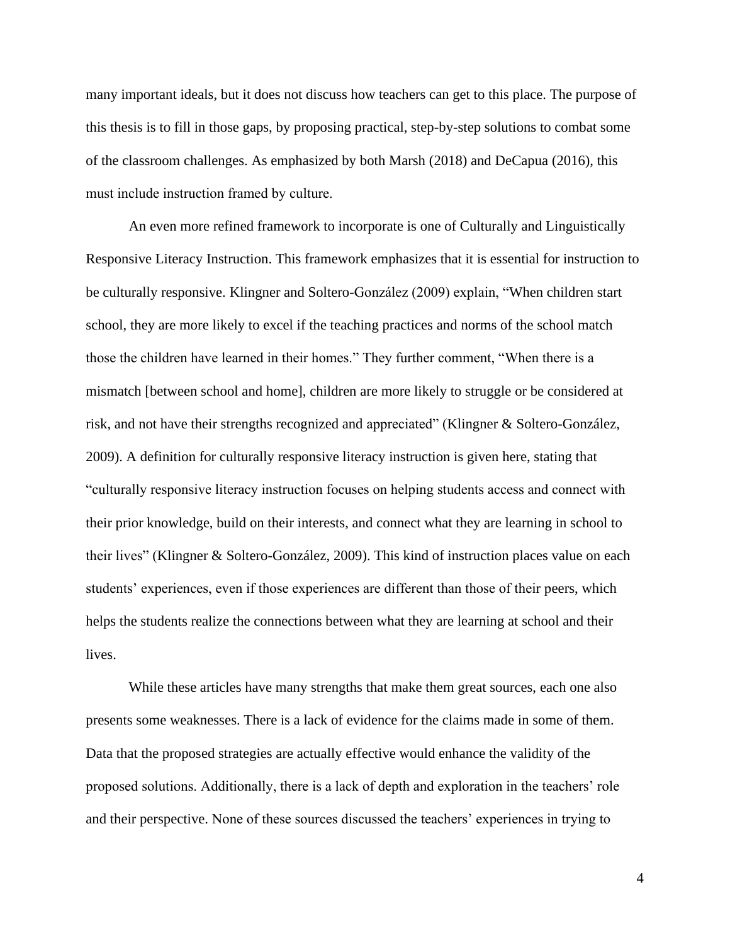many important ideals, but it does not discuss how teachers can get to this place. The purpose of this thesis is to fill in those gaps, by proposing practical, step-by-step solutions to combat some of the classroom challenges. As emphasized by both Marsh (2018) and DeCapua (2016), this must include instruction framed by culture.   

An even more refined framework to incorporate is one of Culturally and Linguistically Responsive Literacy Instruction. This framework emphasizes that it is essential for instruction to be culturally responsive. Klingner and Soltero-González (2009) explain, "When children start school, they are more likely to excel if the teaching practices and norms of the school match those the children have learned in their homes." They further comment, "When there is a mismatch [between school and home], children are more likely to struggle or be considered at risk, and not have their strengths recognized and appreciated" (Klingner & Soltero-González, 2009). A definition for culturally responsive literacy instruction is given here, stating that "culturally responsive literacy instruction focuses on helping students access and connect with their prior knowledge, build on their interests, and connect what they are learning in school to their lives" (Klingner & Soltero-González, 2009). This kind of instruction places value on each students' experiences, even if those experiences are different than those of their peers, which helps the students realize the connections between what they are learning at school and their lives.

While these articles have many strengths that make them great sources, each one also presents some weaknesses. There is a lack of evidence for the claims made in some of them. Data that the proposed strategies are actually effective would enhance the validity of the proposed solutions. Additionally, there is a lack of depth and exploration in the teachers' role and their perspective. None of these sources discussed the teachers' experiences in trying to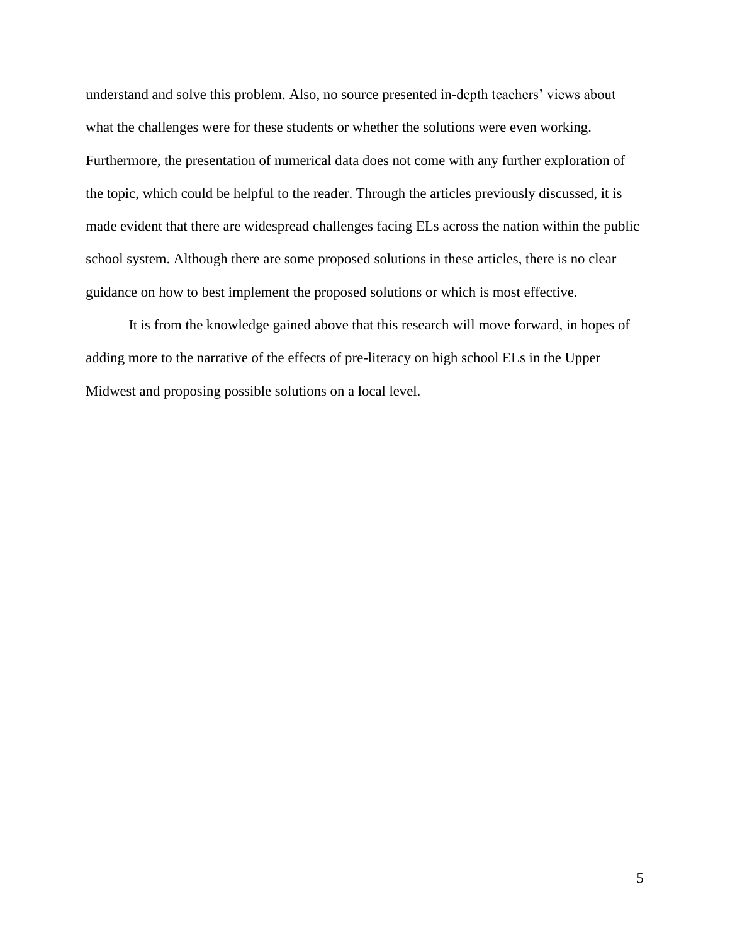understand and solve this problem. Also, no source presented in-depth teachers' views about what the challenges were for these students or whether the solutions were even working. Furthermore, the presentation of numerical data does not come with any further exploration of the topic, which could be helpful to the reader. Through the articles previously discussed, it is made evident that there are widespread challenges facing ELs across the nation within the public school system. Although there are some proposed solutions in these articles, there is no clear guidance on how to best implement the proposed solutions or which is most effective.

It is from the knowledge gained above that this research will move forward, in hopes of adding more to the narrative of the effects of pre-literacy on high school ELs in the Upper Midwest and proposing possible solutions on a local level.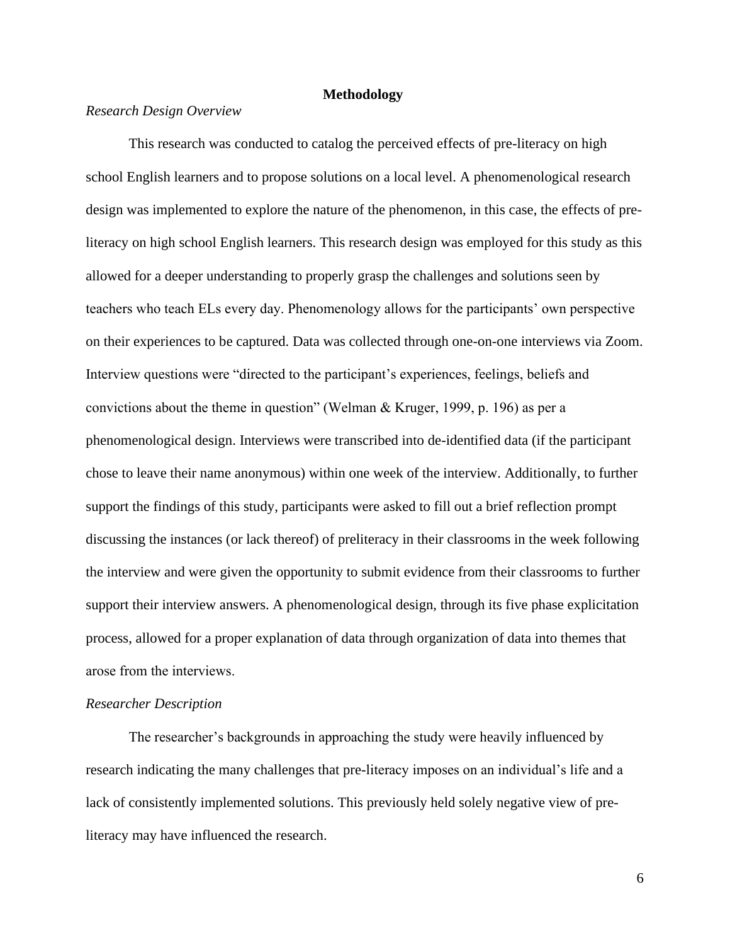## **Methodology**

## *Research Design Overview*

This research was conducted to catalog the perceived effects of pre-literacy on high school English learners and to propose solutions on a local level. A phenomenological research design was implemented to explore the nature of the phenomenon, in this case, the effects of preliteracy on high school English learners. This research design was employed for this study as this allowed for a deeper understanding to properly grasp the challenges and solutions seen by teachers who teach ELs every day. Phenomenology allows for the participants' own perspective on their experiences to be captured. Data was collected through one-on-one interviews via Zoom. Interview questions were "directed to the participant's experiences, feelings, beliefs and convictions about the theme in question" (Welman & Kruger, 1999, p. 196) as per a phenomenological design. Interviews were transcribed into de-identified data (if the participant chose to leave their name anonymous) within one week of the interview. Additionally, to further support the findings of this study, participants were asked to fill out a brief reflection prompt discussing the instances (or lack thereof) of preliteracy in their classrooms in the week following the interview and were given the opportunity to submit evidence from their classrooms to further support their interview answers. A phenomenological design, through its five phase explicitation process, allowed for a proper explanation of data through organization of data into themes that arose from the interviews.  

## *Researcher Description*

The researcher's backgrounds in approaching the study were heavily influenced by research indicating the many challenges that pre-literacy imposes on an individual's life and a lack of consistently implemented solutions. This previously held solely negative view of preliteracy may have influenced the research.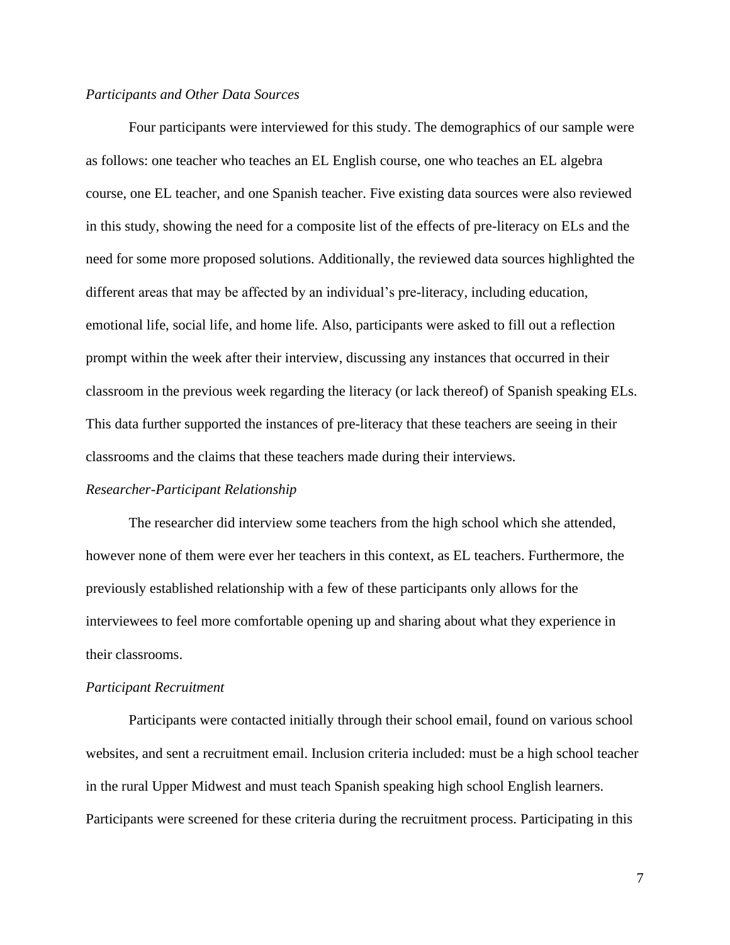#### *Participants and Other Data Sources*

Four participants were interviewed for this study. The demographics of our sample were as follows: one teacher who teaches an EL English course, one who teaches an EL algebra course, one EL teacher, and one Spanish teacher. Five existing data sources were also reviewed in this study, showing the need for a composite list of the effects of pre-literacy on ELs and the need for some more proposed solutions. Additionally, the reviewed data sources highlighted the different areas that may be affected by an individual's pre-literacy, including education, emotional life, social life, and home life. Also, participants were asked to fill out a reflection prompt within the week after their interview, discussing any instances that occurred in their classroom in the previous week regarding the literacy (or lack thereof) of Spanish speaking ELs. This data further supported the instances of pre-literacy that these teachers are seeing in their classrooms and the claims that these teachers made during their interviews.

## *Researcher-Participant Relationship*

The researcher did interview some teachers from the high school which she attended, however none of them were ever her teachers in this context, as EL teachers. Furthermore, the previously established relationship with a few of these participants only allows for the interviewees to feel more comfortable opening up and sharing about what they experience in their classrooms.

#### *Participant Recruitment*

Participants were contacted initially through their school email, found on various school websites, and sent a recruitment email. Inclusion criteria included: must be a high school teacher in the rural Upper Midwest and must teach Spanish speaking high school English learners. Participants were screened for these criteria during the recruitment process. Participating in this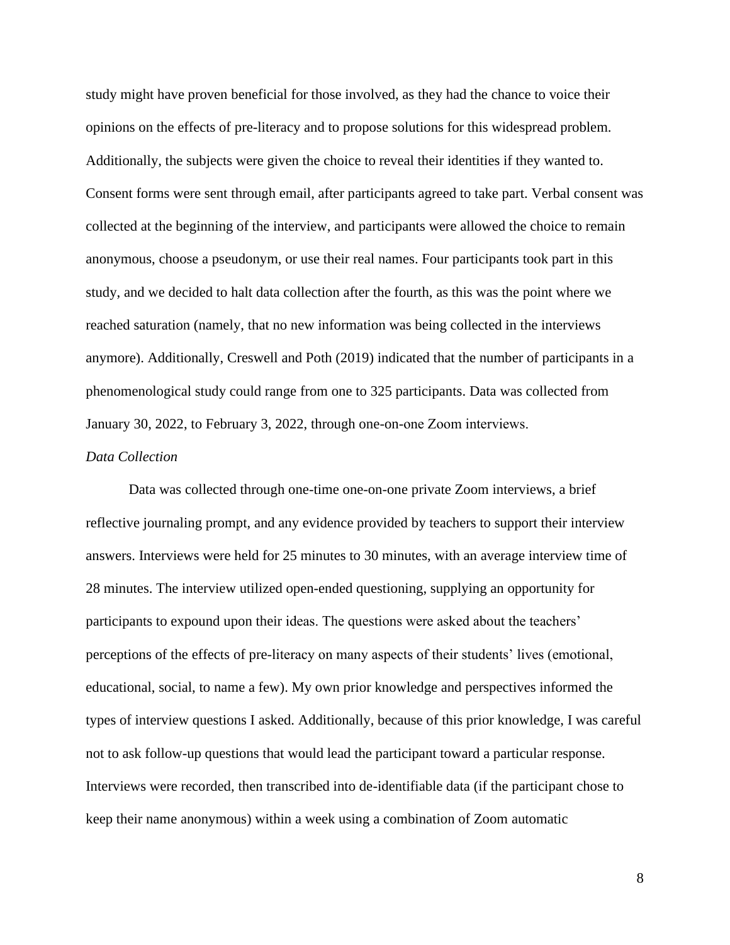study might have proven beneficial for those involved, as they had the chance to voice their opinions on the effects of pre-literacy and to propose solutions for this widespread problem. Additionally, the subjects were given the choice to reveal their identities if they wanted to. Consent forms were sent through email, after participants agreed to take part. Verbal consent was collected at the beginning of the interview, and participants were allowed the choice to remain anonymous, choose a pseudonym, or use their real names. Four participants took part in this study, and we decided to halt data collection after the fourth, as this was the point where we reached saturation (namely, that no new information was being collected in the interviews anymore). Additionally, Creswell and Poth (2019) indicated that the number of participants in a phenomenological study could range from one to 325 participants. Data was collected from January 30, 2022, to February 3, 2022, through one-on-one Zoom interviews.  

## *Data Collection*

Data was collected through one-time one-on-one private Zoom interviews, a brief reflective journaling prompt, and any evidence provided by teachers to support their interview answers. Interviews were held for 25 minutes to 30 minutes, with an average interview time of 28 minutes. The interview utilized open-ended questioning, supplying an opportunity for participants to expound upon their ideas. The questions were asked about the teachers' perceptions of the effects of pre-literacy on many aspects of their students' lives (emotional, educational, social, to name a few). My own prior knowledge and perspectives informed the types of interview questions I asked. Additionally, because of this prior knowledge, I was careful not to ask follow-up questions that would lead the participant toward a particular response. Interviews were recorded, then transcribed into de-identifiable data (if the participant chose to keep their name anonymous) within a week using a combination of Zoom automatic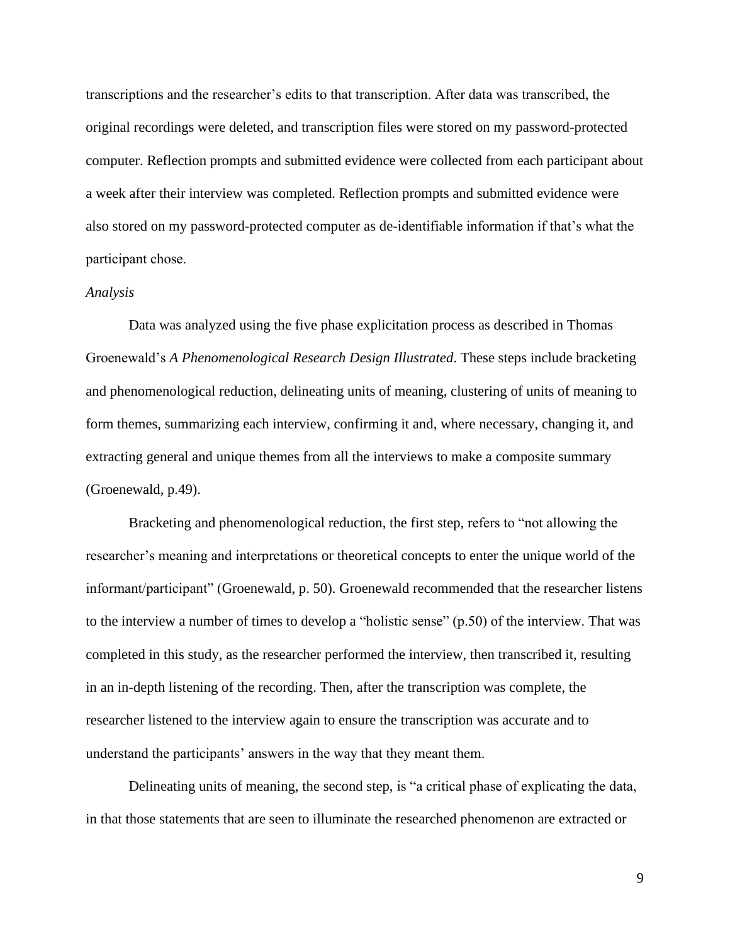transcriptions and the researcher's edits to that transcription. After data was transcribed, the original recordings were deleted, and transcription files were stored on my password-protected computer. Reflection prompts and submitted evidence were collected from each participant about a week after their interview was completed. Reflection prompts and submitted evidence were also stored on my password-protected computer as de-identifiable information if that's what the participant chose. 

#### *Analysis*

Data was analyzed using the five phase explicitation process as described in Thomas Groenewald's *A Phenomenological Research Design Illustrated*. These steps include bracketing and phenomenological reduction, delineating units of meaning, clustering of units of meaning to form themes, summarizing each interview, confirming it and, where necessary, changing it, and extracting general and unique themes from all the interviews to make a composite summary (Groenewald, p.49).

Bracketing and phenomenological reduction, the first step, refers to "not allowing the researcher's meaning and interpretations or theoretical concepts to enter the unique world of the informant/participant" (Groenewald, p. 50). Groenewald recommended that the researcher listens to the interview a number of times to develop a "holistic sense" (p.50) of the interview. That was completed in this study, as the researcher performed the interview, then transcribed it, resulting in an in-depth listening of the recording. Then, after the transcription was complete, the researcher listened to the interview again to ensure the transcription was accurate and to understand the participants' answers in the way that they meant them.

Delineating units of meaning, the second step, is "a critical phase of explicating the data, in that those statements that are seen to illuminate the researched phenomenon are extracted or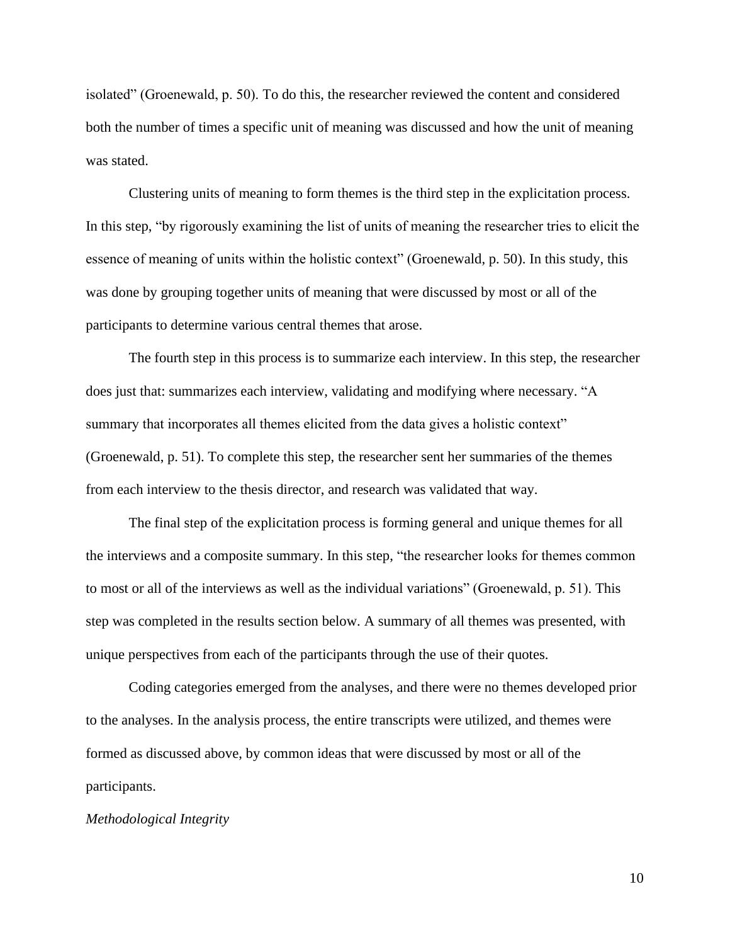isolated" (Groenewald, p. 50). To do this, the researcher reviewed the content and considered both the number of times a specific unit of meaning was discussed and how the unit of meaning was stated.

Clustering units of meaning to form themes is the third step in the explicitation process. In this step, "by rigorously examining the list of units of meaning the researcher tries to elicit the essence of meaning of units within the holistic context" (Groenewald, p. 50). In this study, this was done by grouping together units of meaning that were discussed by most or all of the participants to determine various central themes that arose.

The fourth step in this process is to summarize each interview. In this step, the researcher does just that: summarizes each interview, validating and modifying where necessary. "A summary that incorporates all themes elicited from the data gives a holistic context" (Groenewald, p. 51). To complete this step, the researcher sent her summaries of the themes from each interview to the thesis director, and research was validated that way.

The final step of the explicitation process is forming general and unique themes for all the interviews and a composite summary. In this step, "the researcher looks for themes common to most or all of the interviews as well as the individual variations" (Groenewald, p. 51). This step was completed in the results section below. A summary of all themes was presented, with unique perspectives from each of the participants through the use of their quotes.

Coding categories emerged from the analyses, and there were no themes developed prior to the analyses. In the analysis process, the entire transcripts were utilized, and themes were formed as discussed above, by common ideas that were discussed by most or all of the participants.

## *Methodological Integrity*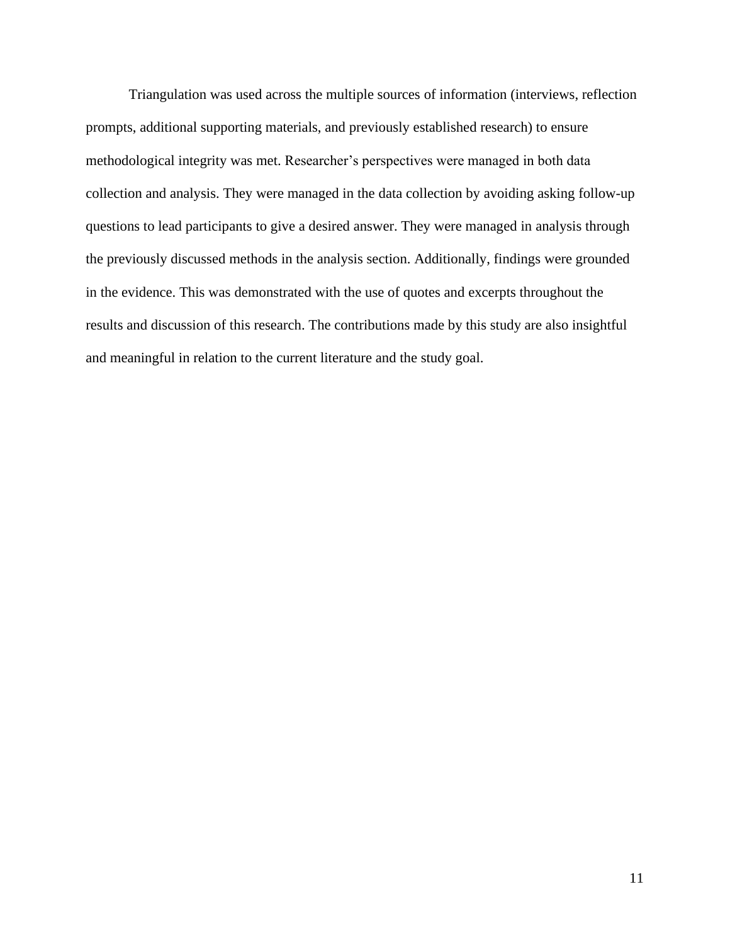Triangulation was used across the multiple sources of information (interviews, reflection prompts, additional supporting materials, and previously established research) to ensure methodological integrity was met. Researcher's perspectives were managed in both data collection and analysis. They were managed in the data collection by avoiding asking follow-up questions to lead participants to give a desired answer. They were managed in analysis through the previously discussed methods in the analysis section. Additionally, findings were grounded in the evidence. This was demonstrated with the use of quotes and excerpts throughout the results and discussion of this research. The contributions made by this study are also insightful and meaningful in relation to the current literature and the study goal.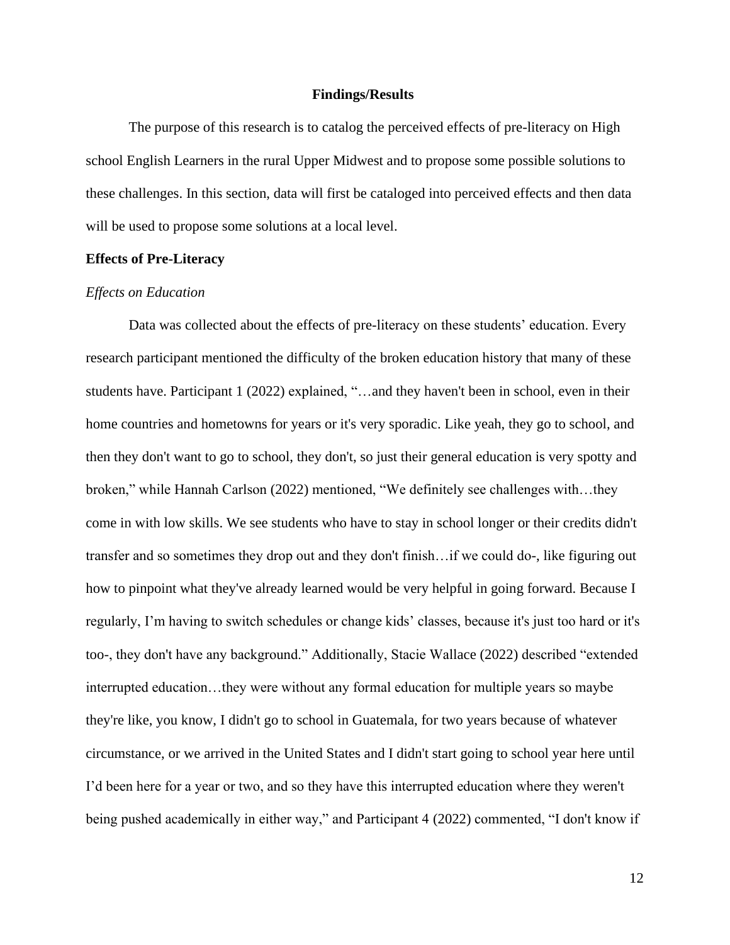#### **Findings/Results**

The purpose of this research is to catalog the perceived effects of pre-literacy on High school English Learners in the rural Upper Midwest and to propose some possible solutions to these challenges. In this section, data will first be cataloged into perceived effects and then data will be used to propose some solutions at a local level.

## **Effects of Pre-Literacy**

### *Effects on Education*

Data was collected about the effects of pre-literacy on these students' education. Every research participant mentioned the difficulty of the broken education history that many of these students have. Participant 1 (2022) explained, "…and they haven't been in school, even in their home countries and hometowns for years or it's very sporadic. Like yeah, they go to school, and then they don't want to go to school, they don't, so just their general education is very spotty and broken," while Hannah Carlson (2022) mentioned, "We definitely see challenges with…they come in with low skills. We see students who have to stay in school longer or their credits didn't transfer and so sometimes they drop out and they don't finish…if we could do-, like figuring out how to pinpoint what they've already learned would be very helpful in going forward. Because I regularly, I'm having to switch schedules or change kids' classes, because it's just too hard or it's too-, they don't have any background." Additionally, Stacie Wallace (2022) described "extended interrupted education…they were without any formal education for multiple years so maybe they're like, you know, I didn't go to school in Guatemala, for two years because of whatever circumstance, or we arrived in the United States and I didn't start going to school year here until I'd been here for a year or two, and so they have this interrupted education where they weren't being pushed academically in either way," and Participant 4 (2022) commented, "I don't know if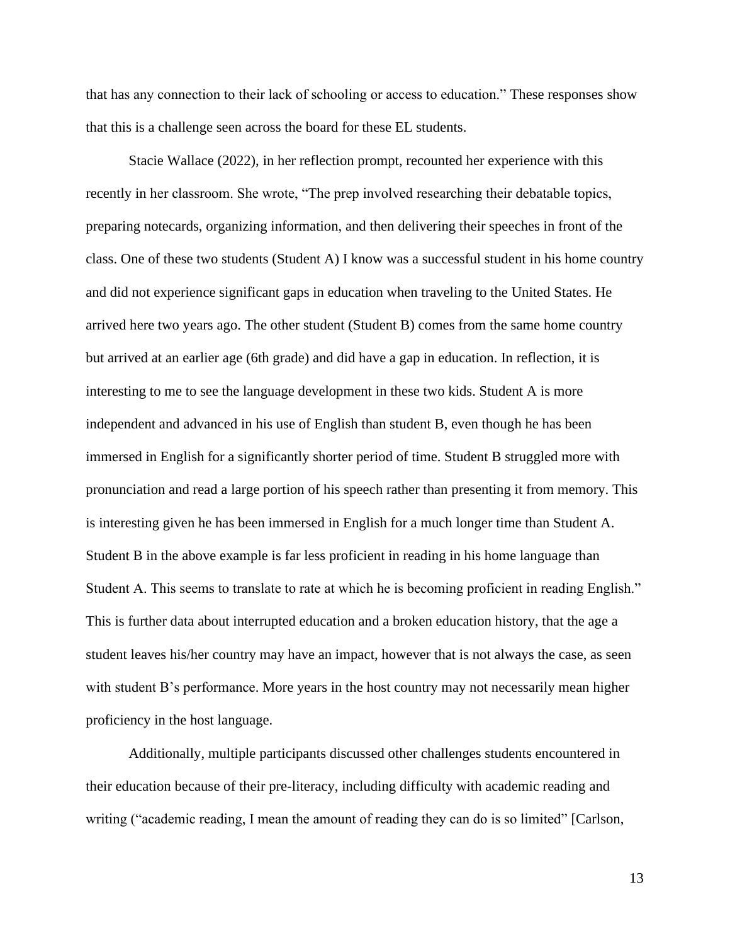that has any connection to their lack of schooling or access to education." These responses show that this is a challenge seen across the board for these EL students.

Stacie Wallace (2022), in her reflection prompt, recounted her experience with this recently in her classroom. She wrote, "The prep involved researching their debatable topics, preparing notecards, organizing information, and then delivering their speeches in front of the class. One of these two students (Student A) I know was a successful student in his home country and did not experience significant gaps in education when traveling to the United States. He arrived here two years ago. The other student (Student B) comes from the same home country but arrived at an earlier age (6th grade) and did have a gap in education. In reflection, it is interesting to me to see the language development in these two kids. Student A is more independent and advanced in his use of English than student B, even though he has been immersed in English for a significantly shorter period of time. Student B struggled more with pronunciation and read a large portion of his speech rather than presenting it from memory. This is interesting given he has been immersed in English for a much longer time than Student A. Student B in the above example is far less proficient in reading in his home language than Student A. This seems to translate to rate at which he is becoming proficient in reading English." This is further data about interrupted education and a broken education history, that the age a student leaves his/her country may have an impact, however that is not always the case, as seen with student B's performance. More years in the host country may not necessarily mean higher proficiency in the host language.

Additionally, multiple participants discussed other challenges students encountered in their education because of their pre-literacy, including difficulty with academic reading and writing ("academic reading, I mean the amount of reading they can do is so limited" [Carlson,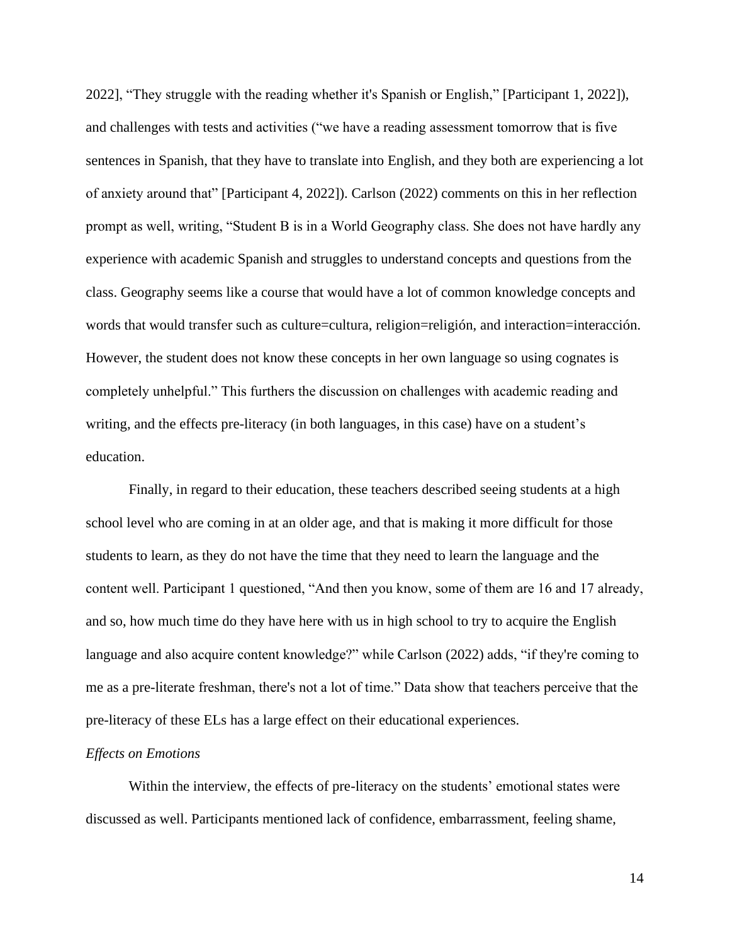2022], "They struggle with the reading whether it's Spanish or English," [Participant 1, 2022]), and challenges with tests and activities ("we have a reading assessment tomorrow that is five sentences in Spanish, that they have to translate into English, and they both are experiencing a lot of anxiety around that" [Participant 4, 2022]). Carlson (2022) comments on this in her reflection prompt as well, writing, "Student B is in a World Geography class. She does not have hardly any experience with academic Spanish and struggles to understand concepts and questions from the class. Geography seems like a course that would have a lot of common knowledge concepts and words that would transfer such as culture=cultura, religion=religión, and interaction=interacción. However, the student does not know these concepts in her own language so using cognates is completely unhelpful." This furthers the discussion on challenges with academic reading and writing, and the effects pre-literacy (in both languages, in this case) have on a student's education.

Finally, in regard to their education, these teachers described seeing students at a high school level who are coming in at an older age, and that is making it more difficult for those students to learn, as they do not have the time that they need to learn the language and the content well. Participant 1 questioned, "And then you know, some of them are 16 and 17 already, and so, how much time do they have here with us in high school to try to acquire the English language and also acquire content knowledge?" while Carlson (2022) adds, "if they're coming to me as a pre-literate freshman, there's not a lot of time." Data show that teachers perceive that the pre-literacy of these ELs has a large effect on their educational experiences.

#### *Effects on Emotions*

Within the interview, the effects of pre-literacy on the students' emotional states were discussed as well. Participants mentioned lack of confidence, embarrassment, feeling shame,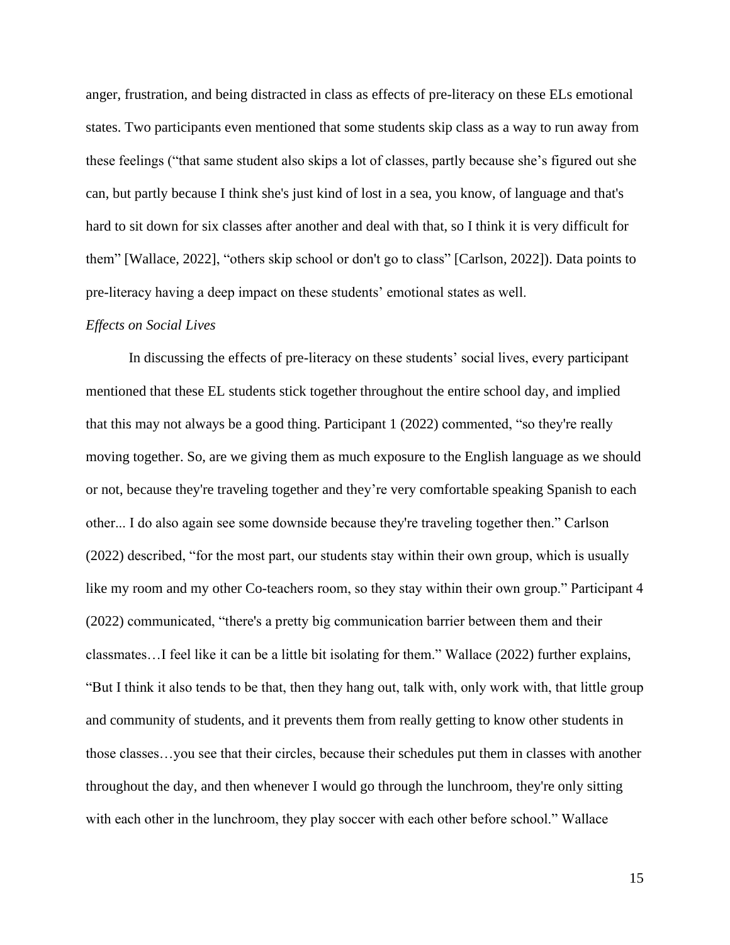anger, frustration, and being distracted in class as effects of pre-literacy on these ELs emotional states. Two participants even mentioned that some students skip class as a way to run away from these feelings ("that same student also skips a lot of classes, partly because she's figured out she can, but partly because I think she's just kind of lost in a sea, you know, of language and that's hard to sit down for six classes after another and deal with that, so I think it is very difficult for them" [Wallace, 2022], "others skip school or don't go to class" [Carlson, 2022]). Data points to pre-literacy having a deep impact on these students' emotional states as well.

#### *Effects on Social Lives*

In discussing the effects of pre-literacy on these students' social lives, every participant mentioned that these EL students stick together throughout the entire school day, and implied that this may not always be a good thing. Participant 1 (2022) commented, "so they're really moving together. So, are we giving them as much exposure to the English language as we should or not, because they're traveling together and they're very comfortable speaking Spanish to each other... I do also again see some downside because they're traveling together then." Carlson (2022) described, "for the most part, our students stay within their own group, which is usually like my room and my other Co-teachers room, so they stay within their own group." Participant 4 (2022) communicated, "there's a pretty big communication barrier between them and their classmates…I feel like it can be a little bit isolating for them." Wallace (2022) further explains, "But I think it also tends to be that, then they hang out, talk with, only work with, that little group and community of students, and it prevents them from really getting to know other students in those classes…you see that their circles, because their schedules put them in classes with another throughout the day, and then whenever I would go through the lunchroom, they're only sitting with each other in the lunchroom, they play soccer with each other before school." Wallace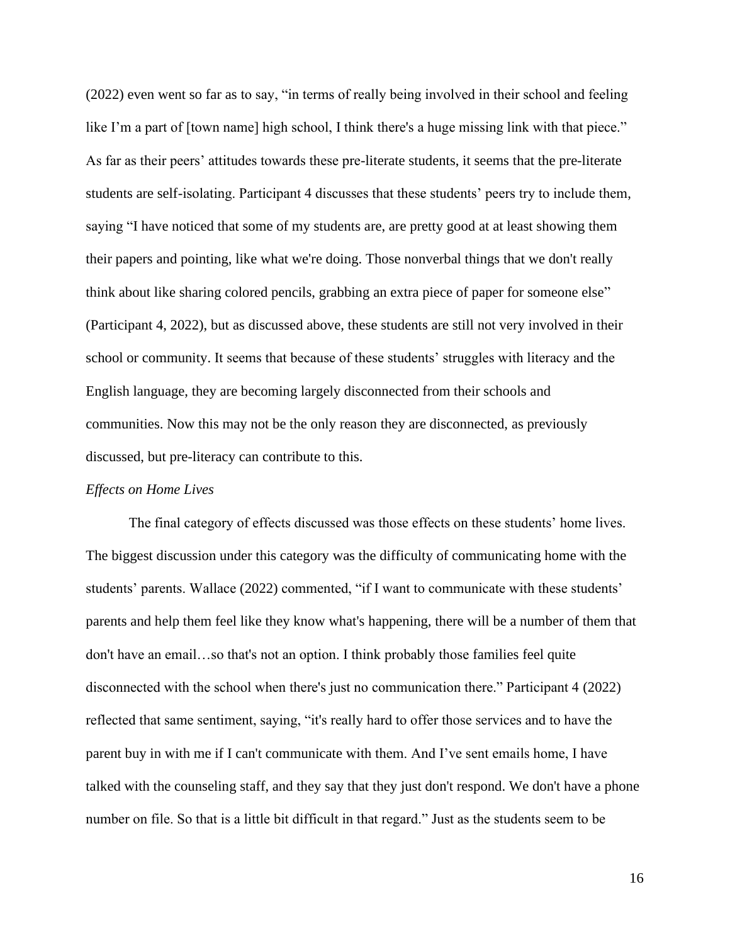(2022) even went so far as to say, "in terms of really being involved in their school and feeling like I'm a part of [town name] high school, I think there's a huge missing link with that piece." As far as their peers' attitudes towards these pre-literate students, it seems that the pre-literate students are self-isolating. Participant 4 discusses that these students' peers try to include them, saying "I have noticed that some of my students are, are pretty good at at least showing them their papers and pointing, like what we're doing. Those nonverbal things that we don't really think about like sharing colored pencils, grabbing an extra piece of paper for someone else" (Participant 4, 2022), but as discussed above, these students are still not very involved in their school or community. It seems that because of these students' struggles with literacy and the English language, they are becoming largely disconnected from their schools and communities. Now this may not be the only reason they are disconnected, as previously discussed, but pre-literacy can contribute to this.

#### *Effects on Home Lives*

The final category of effects discussed was those effects on these students' home lives. The biggest discussion under this category was the difficulty of communicating home with the students' parents. Wallace (2022) commented, "if I want to communicate with these students' parents and help them feel like they know what's happening, there will be a number of them that don't have an email…so that's not an option. I think probably those families feel quite disconnected with the school when there's just no communication there." Participant 4 (2022) reflected that same sentiment, saying, "it's really hard to offer those services and to have the parent buy in with me if I can't communicate with them. And I've sent emails home, I have talked with the counseling staff, and they say that they just don't respond. We don't have a phone number on file. So that is a little bit difficult in that regard." Just as the students seem to be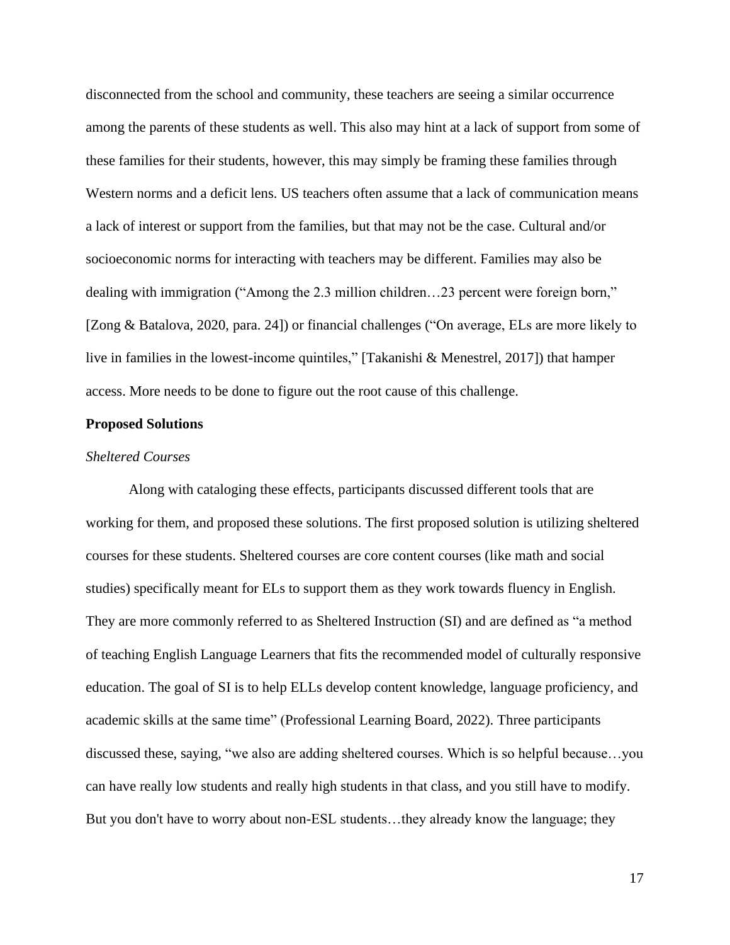disconnected from the school and community, these teachers are seeing a similar occurrence among the parents of these students as well. This also may hint at a lack of support from some of these families for their students, however, this may simply be framing these families through Western norms and a deficit lens. US teachers often assume that a lack of communication means a lack of interest or support from the families, but that may not be the case. Cultural and/or socioeconomic norms for interacting with teachers may be different. Families may also be dealing with immigration ("Among the 2.3 million children…23 percent were foreign born," [Zong & Batalova, 2020, para. 24]) or financial challenges ("On average, ELs are more likely to live in families in the lowest-income quintiles," [Takanishi & Menestrel, 2017]) that hamper access. More needs to be done to figure out the root cause of this challenge.

## **Proposed Solutions**

#### *Sheltered Courses*

Along with cataloging these effects, participants discussed different tools that are working for them, and proposed these solutions. The first proposed solution is utilizing sheltered courses for these students. Sheltered courses are core content courses (like math and social studies) specifically meant for ELs to support them as they work towards fluency in English. They are more commonly referred to as Sheltered Instruction (SI) and are defined as "a method of teaching English Language Learners that fits the recommended model of culturally responsive education. The goal of SI is to help ELLs develop content knowledge, language proficiency, and academic skills at the same time" (Professional Learning Board, 2022). Three participants discussed these, saying, "we also are adding sheltered courses. Which is so helpful because…you can have really low students and really high students in that class, and you still have to modify. But you don't have to worry about non-ESL students…they already know the language; they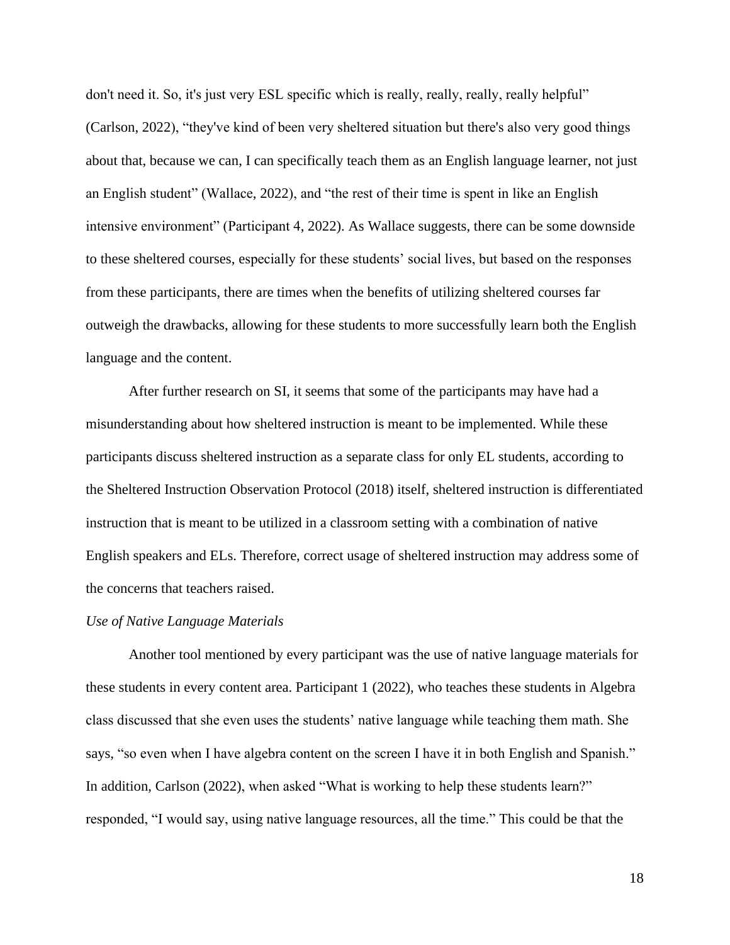don't need it. So, it's just very ESL specific which is really, really, really, really helpful" (Carlson, 2022), "they've kind of been very sheltered situation but there's also very good things about that, because we can, I can specifically teach them as an English language learner, not just an English student" (Wallace, 2022), and "the rest of their time is spent in like an English intensive environment" (Participant 4, 2022). As Wallace suggests, there can be some downside to these sheltered courses, especially for these students' social lives, but based on the responses from these participants, there are times when the benefits of utilizing sheltered courses far outweigh the drawbacks, allowing for these students to more successfully learn both the English language and the content.

After further research on SI, it seems that some of the participants may have had a misunderstanding about how sheltered instruction is meant to be implemented. While these participants discuss sheltered instruction as a separate class for only EL students, according to the Sheltered Instruction Observation Protocol (2018) itself, sheltered instruction is differentiated instruction that is meant to be utilized in a classroom setting with a combination of native English speakers and ELs. Therefore, correct usage of sheltered instruction may address some of the concerns that teachers raised.

#### *Use of Native Language Materials*

Another tool mentioned by every participant was the use of native language materials for these students in every content area. Participant 1 (2022), who teaches these students in Algebra class discussed that she even uses the students' native language while teaching them math. She says, "so even when I have algebra content on the screen I have it in both English and Spanish." In addition, Carlson (2022), when asked "What is working to help these students learn?" responded, "I would say, using native language resources, all the time." This could be that the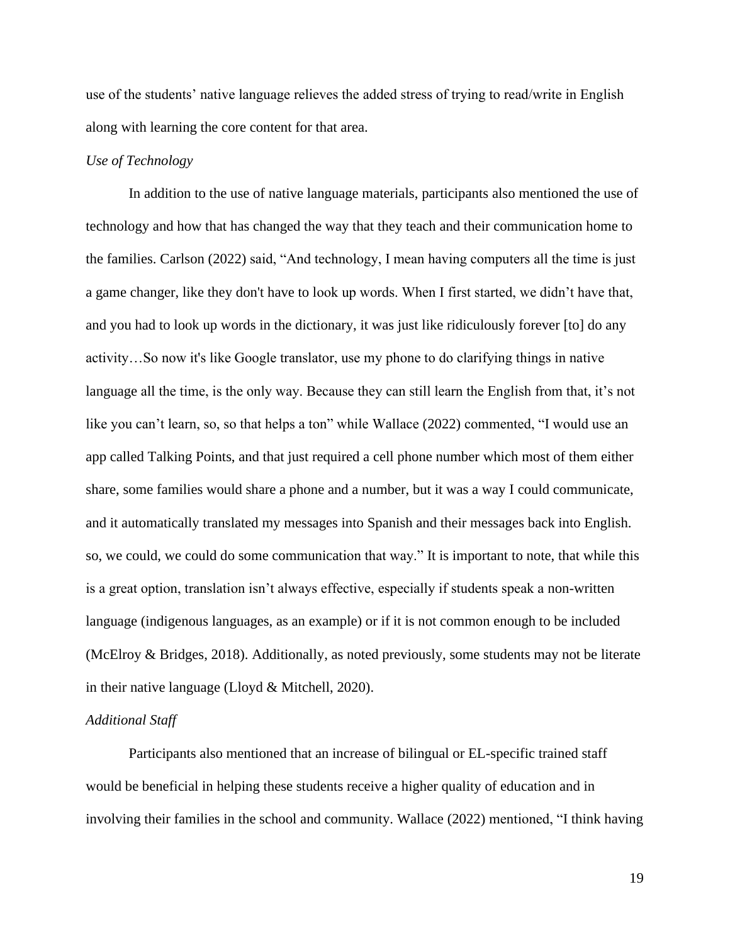use of the students' native language relieves the added stress of trying to read/write in English along with learning the core content for that area.

## *Use of Technology*

In addition to the use of native language materials, participants also mentioned the use of technology and how that has changed the way that they teach and their communication home to the families. Carlson (2022) said, "And technology, I mean having computers all the time is just a game changer, like they don't have to look up words. When I first started, we didn't have that, and you had to look up words in the dictionary, it was just like ridiculously forever [to] do any activity…So now it's like Google translator, use my phone to do clarifying things in native language all the time, is the only way. Because they can still learn the English from that, it's not like you can't learn, so, so that helps a ton" while Wallace (2022) commented, "I would use an app called Talking Points, and that just required a cell phone number which most of them either share, some families would share a phone and a number, but it was a way I could communicate, and it automatically translated my messages into Spanish and their messages back into English. so, we could, we could do some communication that way." It is important to note, that while this is a great option, translation isn't always effective, especially if students speak a non-written language (indigenous languages, as an example) or if it is not common enough to be included (McElroy & Bridges, 2018). Additionally, as noted previously, some students may not be literate in their native language (Lloyd & Mitchell, 2020).

#### *Additional Staff*

Participants also mentioned that an increase of bilingual or EL-specific trained staff would be beneficial in helping these students receive a higher quality of education and in involving their families in the school and community. Wallace (2022) mentioned, "I think having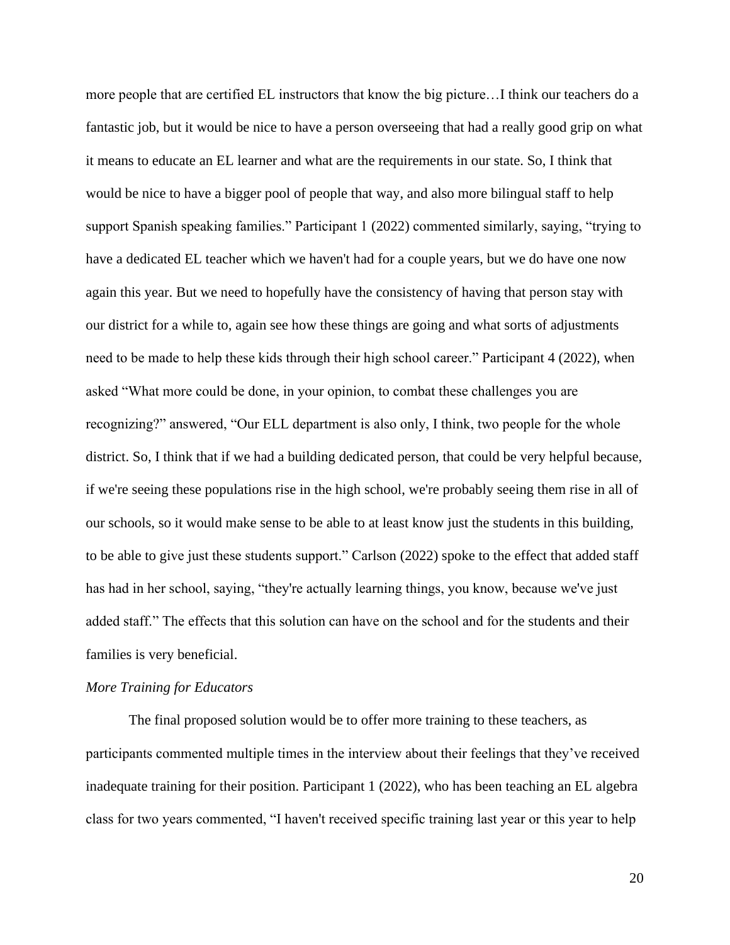more people that are certified EL instructors that know the big picture…I think our teachers do a fantastic job, but it would be nice to have a person overseeing that had a really good grip on what it means to educate an EL learner and what are the requirements in our state. So, I think that would be nice to have a bigger pool of people that way, and also more bilingual staff to help support Spanish speaking families." Participant 1 (2022) commented similarly, saying, "trying to have a dedicated EL teacher which we haven't had for a couple years, but we do have one now again this year. But we need to hopefully have the consistency of having that person stay with our district for a while to, again see how these things are going and what sorts of adjustments need to be made to help these kids through their high school career." Participant 4 (2022), when asked "What more could be done, in your opinion, to combat these challenges you are recognizing?" answered, "Our ELL department is also only, I think, two people for the whole district. So, I think that if we had a building dedicated person, that could be very helpful because, if we're seeing these populations rise in the high school, we're probably seeing them rise in all of our schools, so it would make sense to be able to at least know just the students in this building, to be able to give just these students support." Carlson (2022) spoke to the effect that added staff has had in her school, saying, "they're actually learning things, you know, because we've just added staff." The effects that this solution can have on the school and for the students and their families is very beneficial.

#### *More Training for Educators*

The final proposed solution would be to offer more training to these teachers, as participants commented multiple times in the interview about their feelings that they've received inadequate training for their position. Participant 1 (2022), who has been teaching an EL algebra class for two years commented, "I haven't received specific training last year or this year to help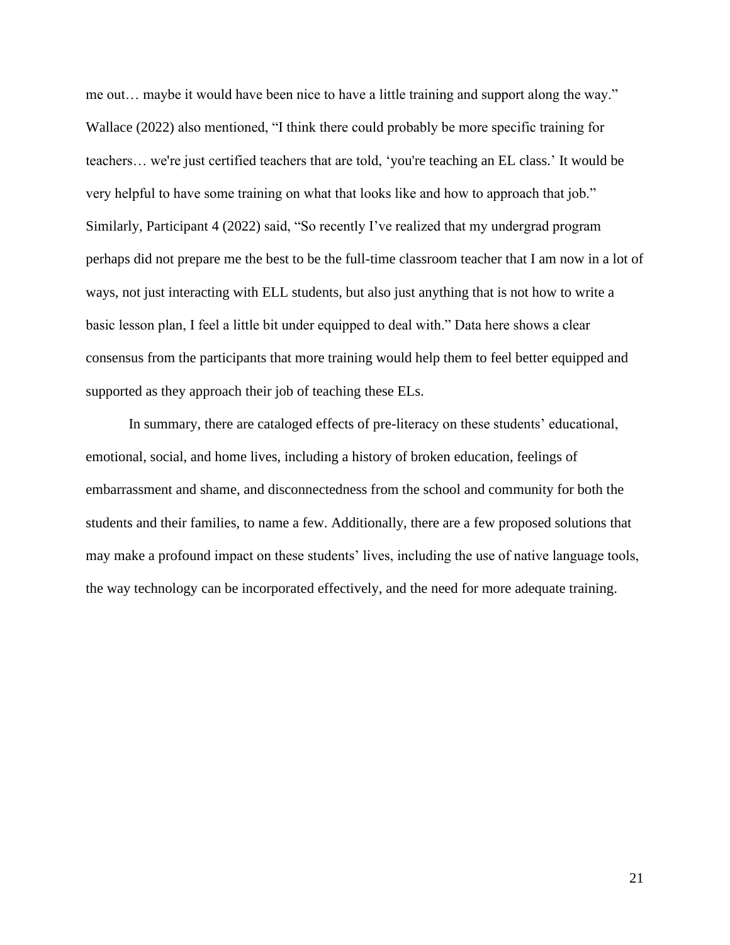me out… maybe it would have been nice to have a little training and support along the way." Wallace (2022) also mentioned, "I think there could probably be more specific training for teachers… we're just certified teachers that are told, 'you're teaching an EL class.' It would be very helpful to have some training on what that looks like and how to approach that job." Similarly, Participant 4 (2022) said, "So recently I've realized that my undergrad program perhaps did not prepare me the best to be the full-time classroom teacher that I am now in a lot of ways, not just interacting with ELL students, but also just anything that is not how to write a basic lesson plan, I feel a little bit under equipped to deal with." Data here shows a clear consensus from the participants that more training would help them to feel better equipped and supported as they approach their job of teaching these ELs.

In summary, there are cataloged effects of pre-literacy on these students' educational, emotional, social, and home lives, including a history of broken education, feelings of embarrassment and shame, and disconnectedness from the school and community for both the students and their families, to name a few. Additionally, there are a few proposed solutions that may make a profound impact on these students' lives, including the use of native language tools, the way technology can be incorporated effectively, and the need for more adequate training.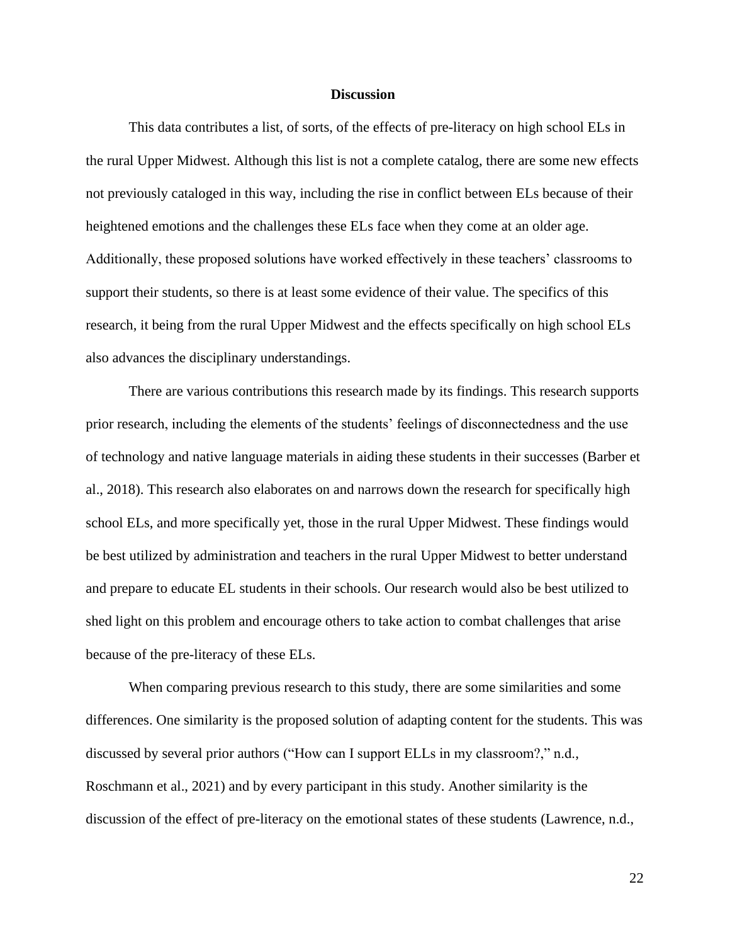#### **Discussion**

This data contributes a list, of sorts, of the effects of pre-literacy on high school ELs in the rural Upper Midwest. Although this list is not a complete catalog, there are some new effects not previously cataloged in this way, including the rise in conflict between ELs because of their heightened emotions and the challenges these ELs face when they come at an older age. Additionally, these proposed solutions have worked effectively in these teachers' classrooms to support their students, so there is at least some evidence of their value. The specifics of this research, it being from the rural Upper Midwest and the effects specifically on high school ELs also advances the disciplinary understandings.

There are various contributions this research made by its findings. This research supports prior research, including the elements of the students' feelings of disconnectedness and the use of technology and native language materials in aiding these students in their successes (Barber et al., 2018). This research also elaborates on and narrows down the research for specifically high school ELs, and more specifically yet, those in the rural Upper Midwest. These findings would be best utilized by administration and teachers in the rural Upper Midwest to better understand and prepare to educate EL students in their schools. Our research would also be best utilized to shed light on this problem and encourage others to take action to combat challenges that arise because of the pre-literacy of these ELs.

When comparing previous research to this study, there are some similarities and some differences. One similarity is the proposed solution of adapting content for the students. This was discussed by several prior authors ("How can I support ELLs in my classroom?," n.d., Roschmann et al., 2021) and by every participant in this study. Another similarity is the discussion of the effect of pre-literacy on the emotional states of these students (Lawrence, n.d.,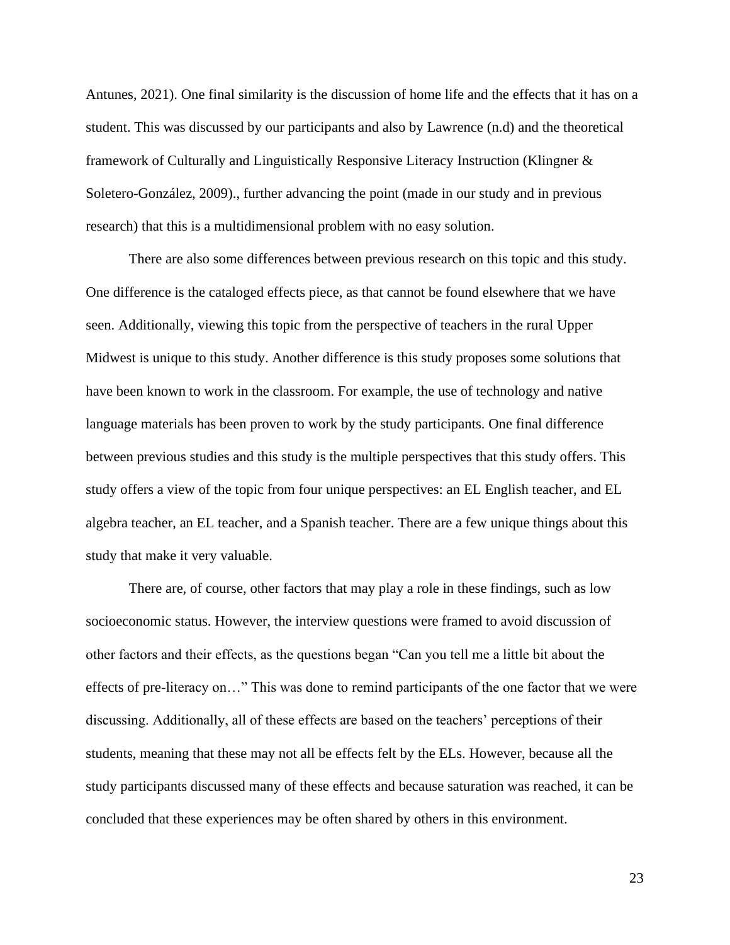Antunes, 2021). One final similarity is the discussion of home life and the effects that it has on a student. This was discussed by our participants and also by Lawrence (n.d) and the theoretical framework of Culturally and Linguistically Responsive Literacy Instruction (Klingner & Soletero-González, 2009)., further advancing the point (made in our study and in previous research) that this is a multidimensional problem with no easy solution.

There are also some differences between previous research on this topic and this study. One difference is the cataloged effects piece, as that cannot be found elsewhere that we have seen. Additionally, viewing this topic from the perspective of teachers in the rural Upper Midwest is unique to this study. Another difference is this study proposes some solutions that have been known to work in the classroom. For example, the use of technology and native language materials has been proven to work by the study participants. One final difference between previous studies and this study is the multiple perspectives that this study offers. This study offers a view of the topic from four unique perspectives: an EL English teacher, and EL algebra teacher, an EL teacher, and a Spanish teacher. There are a few unique things about this study that make it very valuable.

There are, of course, other factors that may play a role in these findings, such as low socioeconomic status. However, the interview questions were framed to avoid discussion of other factors and their effects, as the questions began "Can you tell me a little bit about the effects of pre-literacy on…" This was done to remind participants of the one factor that we were discussing. Additionally, all of these effects are based on the teachers' perceptions of their students, meaning that these may not all be effects felt by the ELs. However, because all the study participants discussed many of these effects and because saturation was reached, it can be concluded that these experiences may be often shared by others in this environment.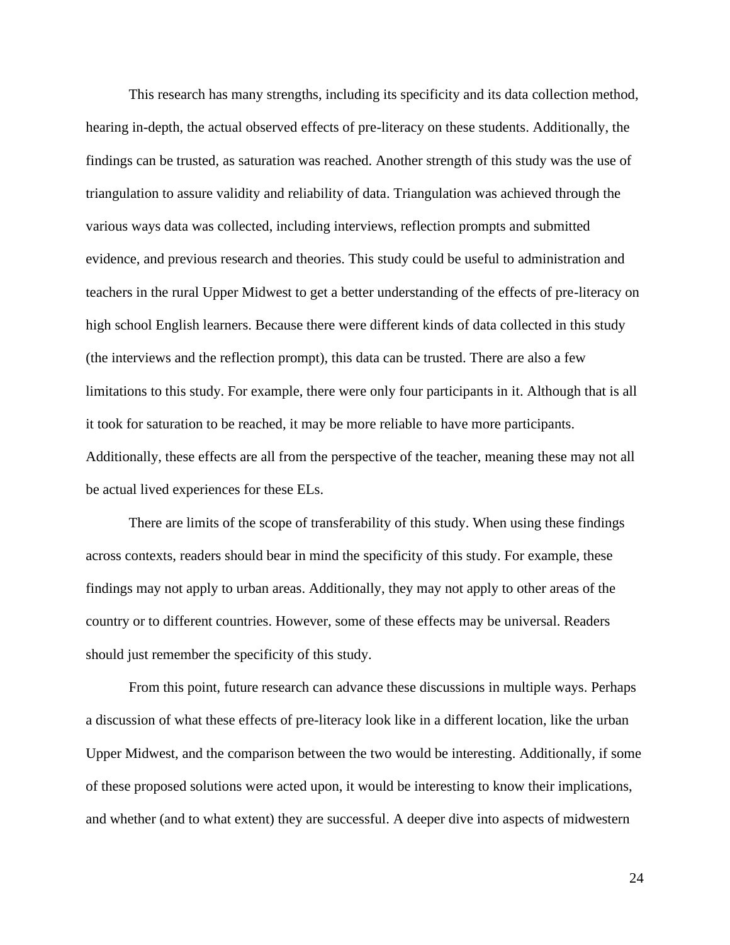This research has many strengths, including its specificity and its data collection method, hearing in-depth, the actual observed effects of pre-literacy on these students. Additionally, the findings can be trusted, as saturation was reached. Another strength of this study was the use of triangulation to assure validity and reliability of data. Triangulation was achieved through the various ways data was collected, including interviews, reflection prompts and submitted evidence, and previous research and theories. This study could be useful to administration and teachers in the rural Upper Midwest to get a better understanding of the effects of pre-literacy on high school English learners. Because there were different kinds of data collected in this study (the interviews and the reflection prompt), this data can be trusted. There are also a few limitations to this study. For example, there were only four participants in it. Although that is all it took for saturation to be reached, it may be more reliable to have more participants. Additionally, these effects are all from the perspective of the teacher, meaning these may not all be actual lived experiences for these ELs.

There are limits of the scope of transferability of this study. When using these findings across contexts, readers should bear in mind the specificity of this study. For example, these findings may not apply to urban areas. Additionally, they may not apply to other areas of the country or to different countries. However, some of these effects may be universal. Readers should just remember the specificity of this study.

From this point, future research can advance these discussions in multiple ways. Perhaps a discussion of what these effects of pre-literacy look like in a different location, like the urban Upper Midwest, and the comparison between the two would be interesting. Additionally, if some of these proposed solutions were acted upon, it would be interesting to know their implications, and whether (and to what extent) they are successful. A deeper dive into aspects of midwestern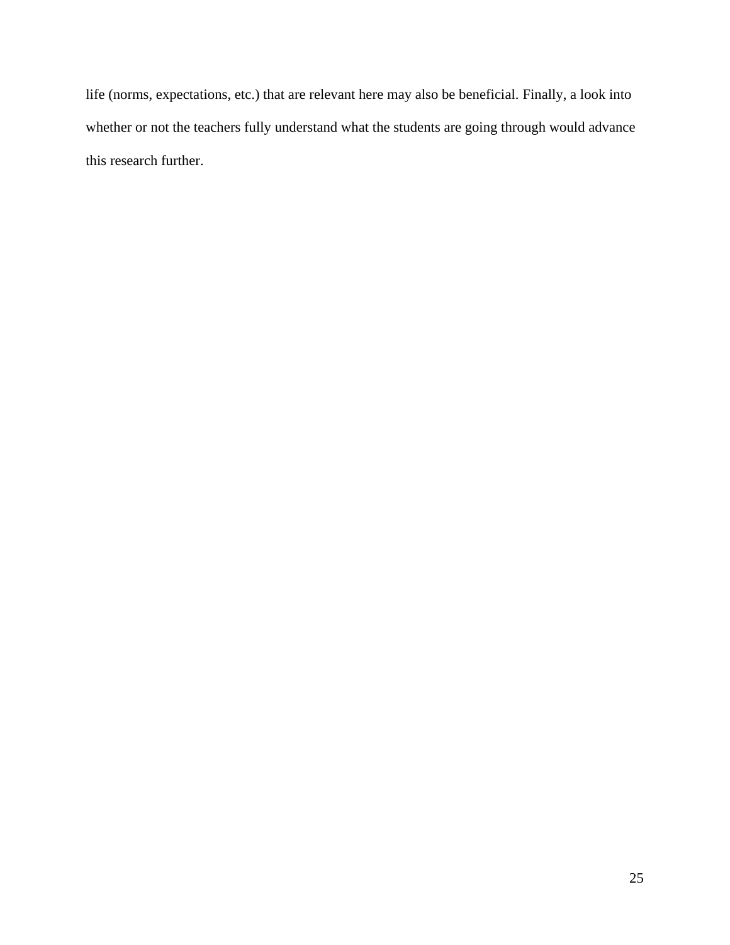life (norms, expectations, etc.) that are relevant here may also be beneficial. Finally, a look into whether or not the teachers fully understand what the students are going through would advance this research further.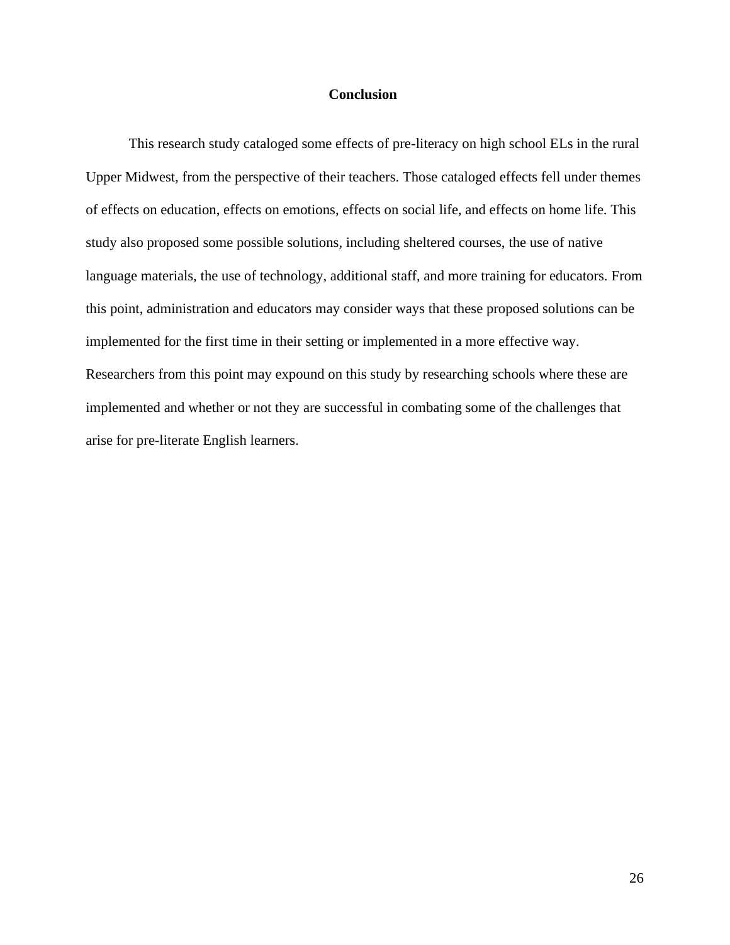## **Conclusion**

This research study cataloged some effects of pre-literacy on high school ELs in the rural Upper Midwest, from the perspective of their teachers. Those cataloged effects fell under themes of effects on education, effects on emotions, effects on social life, and effects on home life. This study also proposed some possible solutions, including sheltered courses, the use of native language materials, the use of technology, additional staff, and more training for educators. From this point, administration and educators may consider ways that these proposed solutions can be implemented for the first time in their setting or implemented in a more effective way. Researchers from this point may expound on this study by researching schools where these are implemented and whether or not they are successful in combating some of the challenges that arise for pre-literate English learners.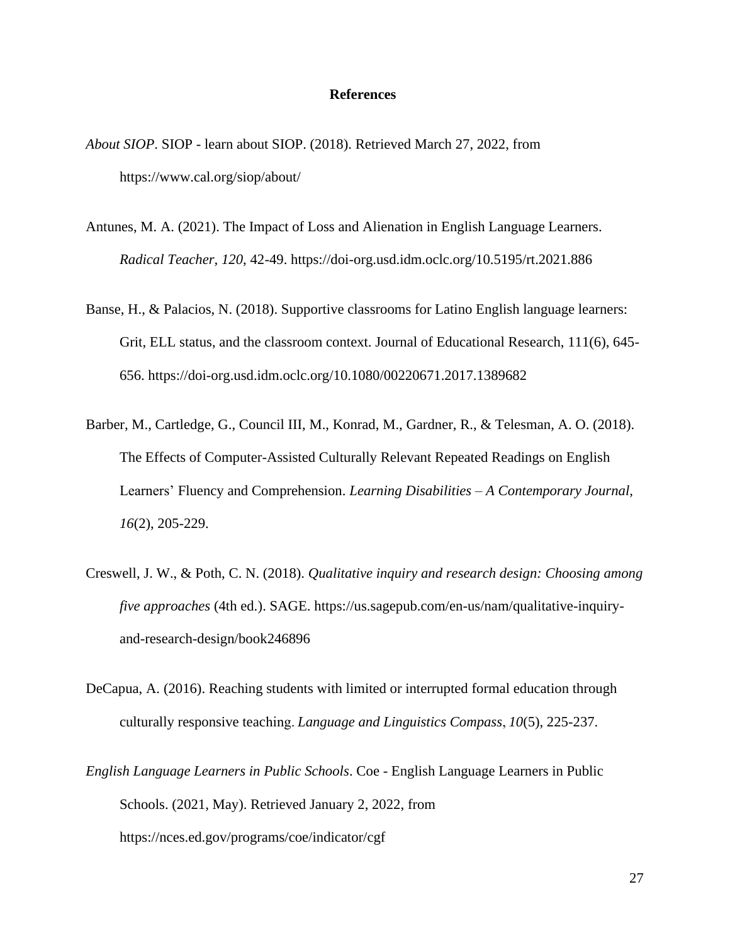## **References**

- *About SIOP*. SIOP learn about SIOP. (2018). Retrieved March 27, 2022, from https://www.cal.org/siop/about/
- Antunes, M. A. (2021). The Impact of Loss and Alienation in English Language Learners. *Radical Teacher, 120*, 42-49.<https://doi-org.usd.idm.oclc.org/10.5195/rt.2021.886>
- Banse, H., & Palacios, N. (2018). Supportive classrooms for Latino English language learners: Grit, ELL status, and the classroom context. Journal of Educational Research, 111(6), 645- 656. https://doi-org.usd.idm.oclc.org/10.1080/00220671.2017.1389682
- Barber, M., Cartledge, G., Council III, M., Konrad, M., Gardner, R., & Telesman, A. O. (2018). The Effects of Computer-Assisted Culturally Relevant Repeated Readings on English Learners' Fluency and Comprehension. *Learning Disabilities – A Contemporary Journal, 16*(2), 205-229.
- Creswell, J. W., & Poth, C. N. (2018). *Qualitative inquiry and research design: Choosing among five approaches* (4th ed.). SAGE. [https://us.sagepub.com/en-us/nam/qualitative-inquiry](https://www.researchgate.net/deref/https%3A%2F%2Fus.sagepub.com%2Fen-us%2Fnam%2Fqualitative-inquiry-and-research-design%2Fbook246896)[and-research-design/book246896](https://www.researchgate.net/deref/https%3A%2F%2Fus.sagepub.com%2Fen-us%2Fnam%2Fqualitative-inquiry-and-research-design%2Fbook246896)
- DeCapua, A. (2016). Reaching students with limited or interrupted formal education through culturally responsive teaching. *Language and Linguistics Compass*, *10*(5), 225-237.
- *English Language Learners in Public Schools*. Coe English Language Learners in Public Schools. (2021, May). Retrieved January 2, 2022, from https://nces.ed.gov/programs/coe/indicator/cgf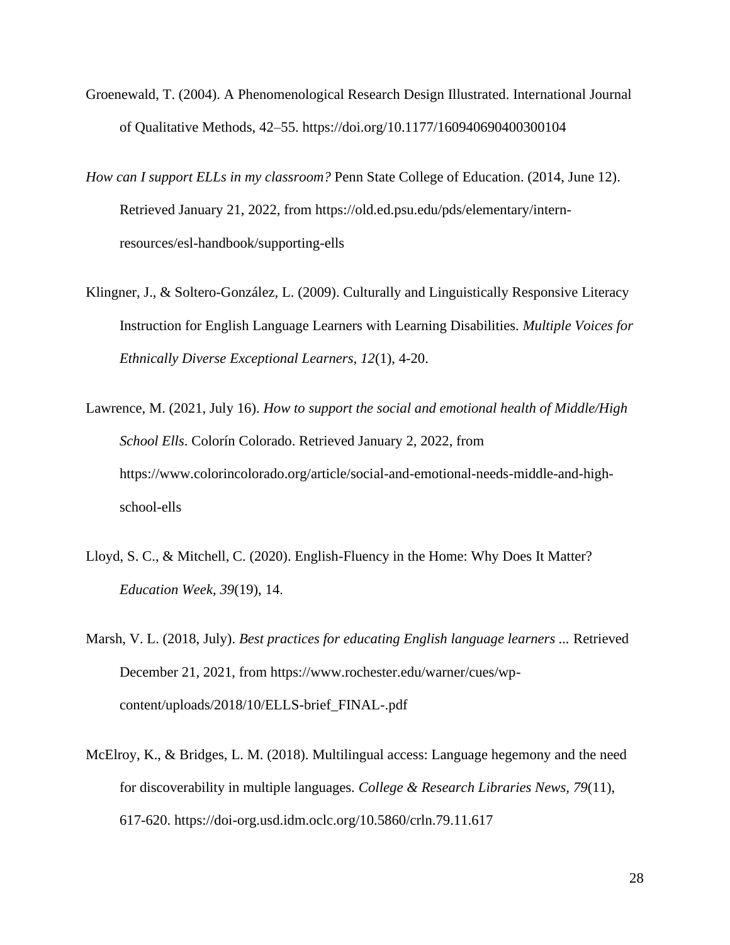- Groenewald, T. (2004). A Phenomenological Research Design Illustrated. International Journal of Qualitative Methods, 42–55. https://doi.org/10.1177/160940690400300104
- *How can I support ELLs in my classroom?* Penn State College of Education. (2014, June 12). Retrieved January 21, 2022, from https://old.ed.psu.edu/pds/elementary/internresources/esl-handbook/supporting-ells
- Klingner, J., & Soltero-González, L. (2009). Culturally and Linguistically Responsive Literacy Instruction for English Language Learners with Learning Disabilities. *Multiple Voices for Ethnically Diverse Exceptional Learners, 12*(1), 4-20.
- Lawrence, M. (2021, July 16). *How to support the social and emotional health of Middle/High School Ells*. Colorín Colorado. Retrieved January 2, 2022, from https://www.colorincolorado.org/article/social-and-emotional-needs-middle-and-highschool-ells
- Lloyd, S. C., & Mitchell, C. (2020). English-Fluency in the Home: Why Does It Matter? *Education Week, 39*(19), 14.
- Marsh, V. L. (2018, July). *Best practices for educating English language learners ...* Retrieved December 21, 2021, from https://www.rochester.edu/warner/cues/wpcontent/uploads/2018/10/ELLS-brief\_FINAL-.pdf
- McElroy, K., & Bridges, L. M. (2018). Multilingual access: Language hegemony and the need for discoverability in multiple languages*. College & Research Libraries News, 79*(11), 617-620. https://doi-org.usd.idm.oclc.org/10.5860/crln.79.11.617